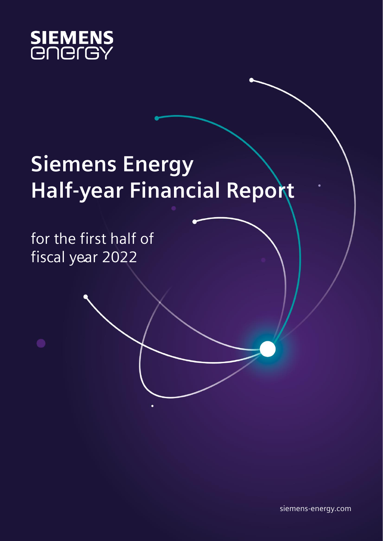

# **Siemens Energy Half-year Financial Report**

for the first half of fiscal year 2022

siemens-energy.com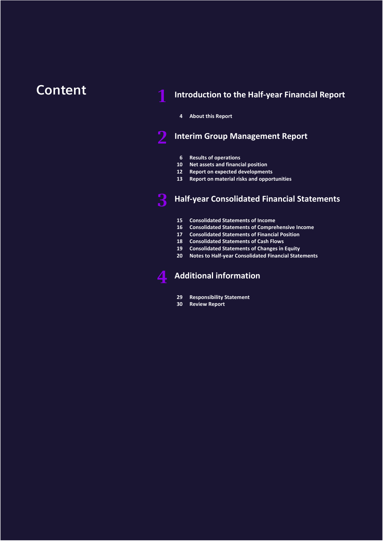### **Content 1 Introduction to [the Half-year Financial Report](#page-2-0)**

#### **[About this Report](#page-3-0)**

### **Interim Group [Management Report](#page-4-0)**

- **[Results of operations](#page-5-0)**
- **[Net assets and financial position](#page-9-0)**
- **Report on [expected developments](#page-11-0)**
- **[Report on material risks and opportunities](#page-12-0)**

### **[Half-year Consolidated Financial Statements](#page-13-0)**

- **[Consolidated Statements](#page-14-0) of Income**
- **[Consolidated Statements of Comprehensive Income](#page-15-0)**
- **[Consolidated Statements of Financial Position](#page-16-0)**
- **[Consolidated Statements of Cash Flows](#page-17-0)**
- **[Consolidated Statements of Changes in Equity](#page-18-0)**
- **[Notes to Half-year Consolidated Financial Statements](#page-19-0)**

### **[Additional information](#page-27-0)**

- **[Responsibility Statement](#page-28-0)**
- **[Review Report](#page-29-0)**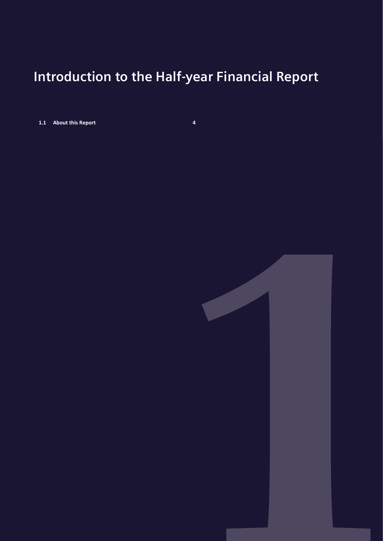## <span id="page-2-0"></span>**Introduction to the Half-year Financial Report**

**1.1 [About this Report](#page-3-0) 4**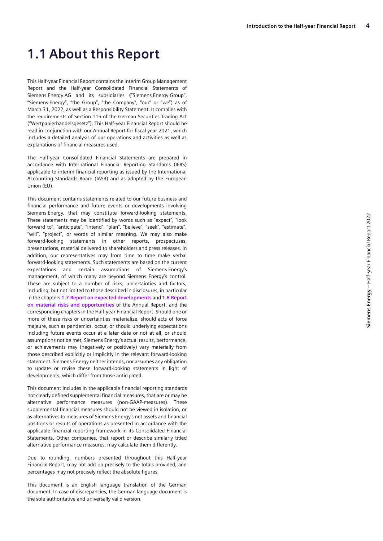### <span id="page-3-0"></span>**1.1 About this Report**

This Half-year Financial Report contains the Interim Group Management Report and the Half-year Consolidated Financial Statements of Siemens Energy AG and its subsidiaries ("Siemens Energy Group", "Siemens Energy", "the Group", "the Company", "our" or "we") as of March 31, 2022, as well as a Responsibility Statement. It complies with the requirements of Section 115 of the German Securities Trading Act ("Wertpapierhandelsgesetz"). This Half-year Financial Report should be read in conjunction with our Annual Report for fiscal year 2021, which includes a detailed analysis of our operations and activities as well as explanations of financial measures used.

The Half-year Consolidated Financial Statements are prepared in accordance with International Financial Reporting Standards (IFRS) applicable to interim financial reporting as issued by the International Accounting Standards Board (IASB) and as adopted by the European Union (EU).

This document contains statements related to our future business and financial performance and future events or developments involving Siemens Energy, that may constitute forward-looking statements. These statements may be identified by words such as "expect", "look forward to", "anticipate", "intend", "plan", "believe", "seek", "estimate", "will", "project", or words of similar meaning. We may also make forward-looking statements in other reports, prospectuses, presentations, material delivered to shareholders and press releases. In addition, our representatives may from time to time make verbal forward-looking statements. Such statements are based on the current expectations and certain assumptions of Siemens Energy's management, of which many are beyond Siemens Energy's control. These are subject to a number of risks, uncertainties and factors, including, but not limited to those described in disclosures, in particular in the chapters **1.7 Report on expected developments** and **1.8 Report on material risks and opportunities** of the Annual Report, and the corresponding chapters in the Half-year Financial Report. Should one or more of these risks or uncertainties materialize, should acts of force majeure, such as pandemics, occur, or should underlying expectations including future events occur at a later date or not at all, or should assumptions not be met, Siemens Energy's actual results, performance, or achievements may (negatively or positively) vary materially from those described explicitly or implicitly in the relevant forward-looking statement. Siemens Energy neither intends, nor assumes any obligation to update or revise these forward-looking statements in light of developments, which differ from those anticipated.

This document includes in the applicable financial reporting standards not clearly defined supplemental financial measures, that are or may be alternative performance measures (non-GAAP-measures). These supplemental financial measures should not be viewed in isolation, or as alternatives to measures of Siemens Energy's net assets and financial positions or results of operations as presented in accordance with the applicable financial reporting framework in its Consolidated Financial Statements. Other companies, that report or describe similarly titled alternative performance measures, may calculate them differently.

Due to rounding, numbers presented throughout this Half-year Financial Report, may not add up precisely to the totals provided, and percentages may not precisely reflect the absolute figures.

This document is an English language translation of the German document. In case of discrepancies, the German language document is the sole authoritative and universally valid version.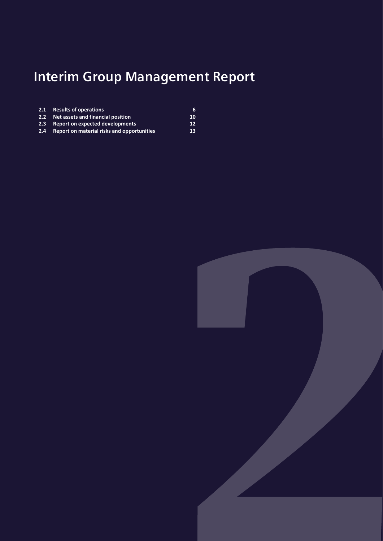# <span id="page-4-0"></span>**Interim Group Management Report**

| 2.1 Results of operations                      | 6  |
|------------------------------------------------|----|
| 2.2 Net assets and financial position          | 10 |
| 2.3 Report on expected developments            | 12 |
| 2.4 Report on material risks and opportunities | 13 |

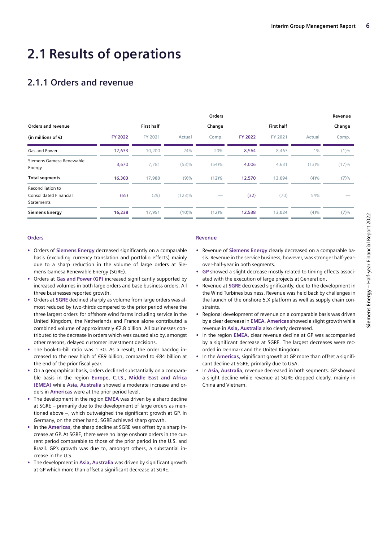## <span id="page-5-0"></span>**2.1 Results of operations**

### **2.1.1 Orders and revenue**

|                                                                  |                |                   |           | Orders |                |                   |         | Revenue |
|------------------------------------------------------------------|----------------|-------------------|-----------|--------|----------------|-------------------|---------|---------|
| Orders and revenue                                               |                | <b>First half</b> |           | Change |                | <b>First half</b> |         | Change  |
| (in millions of $\epsilon$ )                                     | <b>FY 2022</b> | FY 2021           | Actual    | Comp.  | <b>FY 2022</b> | FY 2021           | Actual  | Comp.   |
| Gas and Power                                                    | 12,633         | 10,200            | 24%       | 20%    | 8,564          | 8,463             | $1\%$   | $(1)\%$ |
| Siemens Gamesa Renewable<br>Energy                               | 3,670          | 7,781             | (53)%     | (54)%  | 4,006          | 4,631             | (13)%   | (17)%   |
| <b>Total segments</b>                                            | 16,303         | 17,980            | (9)%      | (12)%  | 12,570         | 13,094            | $(4)\%$ | (7)%    |
| Reconciliation to<br><b>Consolidated Financial</b><br>Statements | (65)           | (29)              | $(123)\%$ |        | (32)           | (70)              | 54%     |         |
| <b>Siemens Energy</b>                                            | 16,238         | 17,951            | (10)%     | (12)%  | 12,538         | 13,024            | $(4)\%$ | (7)%    |

#### **Orders**

- **•** Orders of **Siemens Energy** decreased significantly on a comparable basis (excluding currency translation and portfolio effects) mainly due to a sharp reduction in the volume of large orders at Siemens Gamesa Renewable Energy (SGRE).
- **•** Orders at **Gas and Power (GP)** increased significantly supported by increased volumes in both large orders and base business orders. All three businesses reported growth.
- **•** Orders at **SGRE** declined sharply as volume from large orders was almost reduced by two-thirds compared to the prior period where the three largest orders for offshore wind farms including service in the United Kingdom, the Netherlands and France alone contributed a combined volume of approximately €2.8 billion. All businesses contributed to the decrease in orders which was caused also by, amongst other reasons, delayed customer investment decisions.
- **•** The book-to-bill ratio was 1.30. As a result, the order backlog increased to the new high of €89 billion, compared to €84 billion at the end of the prior fiscal year.
- **•** On a geographical basis, orders declined substantially on a comparable basis in the region **Europe, C.I.S., Middle East and Africa (EMEA)** while **Asia, Australia** showed a moderate increase and orders in **Americas** were at the prior period level.
- **•** The development in the region **EMEA** was driven by a sharp decline at SGRE – primarily due to the development of large orders as mentioned above –, which outweighed the significant growth at GP. In Germany, on the other hand, SGRE achieved sharp growth.
- **•** In the **Americas**, the sharp decline at SGRE was offset by a sharp increase at GP. At SGRE, there were no large onshore orders in the current period comparable to those of the prior period in the U.S. and Brazil. GP's growth was due to, amongst others, a substantial increase in the U.S.
- **•** The development in **Asia, Australia** was driven by significant growth at GP which more than offset a significant decrease at SGRE.

#### **Revenue**

- **•** Revenue of **Siemens Energy** clearly decreased on a comparable basis. Revenue in the service business, however, was stronger half-yearover-half-year in both segments.
- **• GP** showed a slight decrease mostly related to timing effects associated with the execution of large projects at Generation.
- **•** Revenue at **SGRE** decreased significantly, due to the development in the Wind Turbines business. Revenue was held back by challenges in the launch of the onshore 5.X platform as well as supply chain constraints.
- **•** Regional development of revenue on a comparable basis was driven by a clear decrease in **EMEA**. **Americas** showed a slight growth while revenue in **Asia, Australia** also clearly decreased.
- **•** In the region **EMEA**, clear revenue decline at GP was accompanied by a significant decrease at SGRE. The largest decreases were recorded in Denmark and the United Kingdom.
- **•** In the **Americas**, significant growth at GP more than offset a significant decline at SGRE, primarily due to USA.
- **•** In **Asia, Australia**, revenue decreased in both segments. GP showed a slight decline while revenue at SGRE dropped clearly, mainly in China and Vietnam.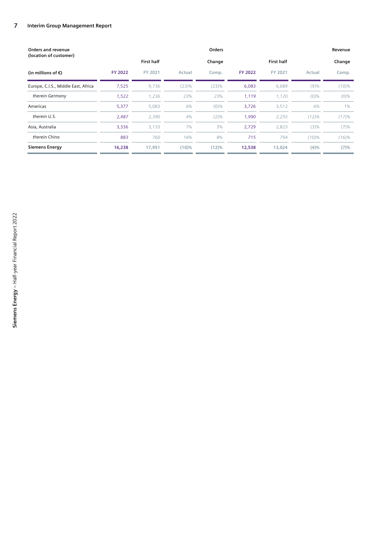| Orders and revenue<br>(location of customer) |                | <b>Orders</b>     |        |         |                |                   |         |         |
|----------------------------------------------|----------------|-------------------|--------|---------|----------------|-------------------|---------|---------|
|                                              |                | <b>First half</b> |        | Change  |                | <b>First half</b> |         | Change  |
| (in millions of $\epsilon$ )                 | <b>FY 2022</b> | FY 2021           | Actual | Comp.   | <b>FY 2022</b> | FY 2021           | Actual  | Comp.   |
| Europe, C.I.S., Middle East, Africa          | 7,525          | 9,736             | (23)%  | (23)%   | 6,083          | 6,689             | (9)%    | (10)%   |
| therein Germany                              | 1,522          | 1,236             | 23%    | 23%     | 1,119          | 1,120             | $(0)\%$ | $(0)\%$ |
| Americas                                     | 5,377          | 5,083             | 6%     | $(0)\%$ | 3,726          | 3,512             | 6%      | 1%      |
| therein U.S.                                 | 2,487          | 2,390             | 4%     | $(2)\%$ | 1,990          | 2,255             | (12)%   | (17)%   |
| Asia, Australia                              | 3,336          | 3,133             | 7%     | 3%      | 2,729          | 2,823             | (3)%    | (7)%    |
| therein China                                | 883            | 760               | 16%    | 8%      | 715            | 794               | (10)%   | (16)%   |
| <b>Siemens Energy</b>                        | 16,238         | 17,951            | (10)%  | (12)%   | 12,538         | 13,024            | (4)%    | (7)%    |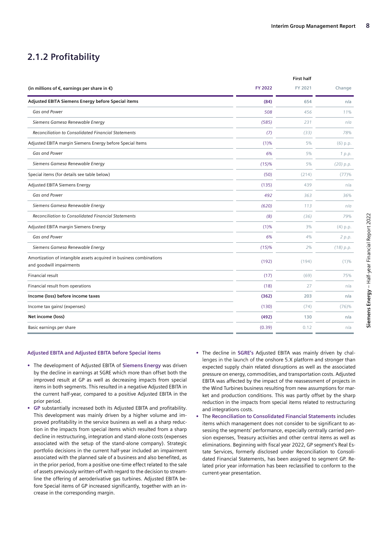**First half**

### **2.1.2 Profitability**

|                | First naif |            |
|----------------|------------|------------|
| <b>FY 2022</b> | FY 2021    | Change     |
| (84)           | 654        | n/a        |
| 508            | 456        | 11%        |
| (585)          | 231        | n/a        |
| (7)            | (33)       | 78%        |
| (1)%           | 5%         | (6) p.p.   |
| 6%             | 5%         | 1 p.p.     |
| (15)%          | 5%         | (20) p.p.  |
| (50)           | (214)      | (77)%      |
| (135)          | 439        | n/a        |
| 492            | 363        | 36%        |
| (620)          | 113        | n/a        |
| (8)            | (36)       | 79%        |
| (1)%           | 3%         | $(4)$ p.p. |
| 6%             | 4%         | 2 p.p.     |
| (15)%          | 2%         | (18) p.p.  |
| (192)          | (194)      | $(1)\%$    |
| (17)           | (69)       | 75%        |
| (18)           | 27         | n/a        |
| (362)          | 203        | n/a        |
| (130)          | (74)       | (76)%      |
| (492)          | 130        | n/a        |
| (0.39)         | 0.12       | n/a        |
|                |            |            |

#### **Adjusted EBITA and Adjusted EBITA before Special items**

- **•** The development of Adjusted EBITA of **Siemens Energy** was driven by the decline in earnings at SGRE which more than offset both the improved result at GP as well as decreasing impacts from special items in both segments. This resulted in a negative Adjusted EBITA in the current half-year, compared to a positive Adjusted EBITA in the prior period.
- **• GP** substantially increased both its Adjusted EBITA and profitability. This development was mainly driven by a higher volume and improved profitability in the service business as well as a sharp reduction in the impacts from special items which resulted from a sharp decline in restructuring, integration and stand-alone costs (expenses associated with the setup of the stand-alone company). Strategic portfolio decisions in the current half-year included an impairment associated with the planned sale of a business and also benefited, as in the prior period, from a positive one-time effect related to the sale of assets previously written-off with regard to the decision to streamline the offering of aeroderivative gas turbines. Adjusted EBITA before Special items of GP increased significantly, together with an increase in the corresponding margin.
- **•** The decline in **SGRE's** Adjusted EBITA was mainly driven by challenges in the launch of the onshore 5.X platform and stronger than expected supply chain related disruptions as well as the associated pressure on energy, commodities, and transportation costs. Adjusted EBITA was affected by the impact of the reassessment of projects in the Wind Turbines business resulting from new assumptions for market and production conditions. This was partly offset by the sharp reduction in the impacts from special items related to restructuring and integrations costs.
- **•** The **Reconciliation to Consolidated Financial Statements** includes items which management does not consider to be significant to assessing the segments' performance, especially centrally carried pension expenses, Treasury activities and other central items as well as eliminations. Beginning with fiscal year 2022, GP segment's Real Estate Services, formerly disclosed under Reconciliation to Consolidated Financial Statements, has been assigned to segment GP. Related prior year information has been reclassified to conform to the current-year presentation.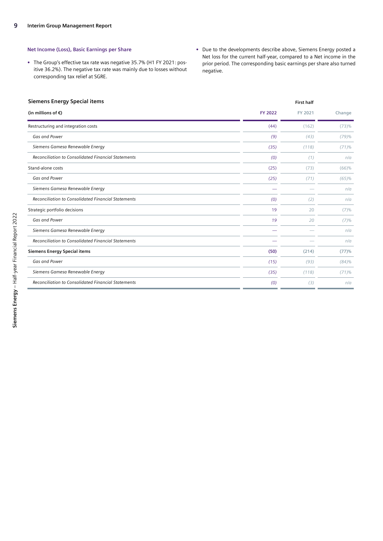#### **Net Income (Loss), Basic Earnings per Share**

- **•** The Group's effective tax rate was negative 35.7% (H1 FY 2021: positive 36.2%). The negative tax rate was mainly due to losses without corresponding tax relief at SGRE.
- **•** Due to the developments describe above, Siemens Energy posted a Net loss for the current half-year, compared to a Net income in the prior period. The corresponding basic earnings per share also turned negative.

#### **Siemens Energy Special items First half**

| (in millions of $\epsilon$ )                               | <b>FY 2022</b> | FY 2021 | Change |
|------------------------------------------------------------|----------------|---------|--------|
| Restructuring and integration costs                        | (44)           | (162)   | (73)%  |
| Gas and Power                                              | (9)            | (43)    | (79)%  |
| Siemens Gamesa Renewable Energy                            | (35)           | (118)   | (71)%  |
| <b>Reconciliation to Consolidated Financial Statements</b> | (0)            | (1)     | n/a    |
| Stand-alone costs                                          | (25)           | (73)    | (66)%  |
| Gas and Power                                              | (25)           | (71)    | (65)%  |
| Siemens Gamesa Renewable Energy                            |                |         | n/a    |
| <b>Reconciliation to Consolidated Financial Statements</b> | (0)            | (2)     | n/a    |
| Strategic portfolio decisions                              | 19             | 20      | (7)%   |
| Gas and Power                                              | 19             | 20      | (7)%   |
| Siemens Gamesa Renewable Energy                            |                |         | n/a    |
| Reconciliation to Consolidated Financial Statements        |                |         | n/a    |
| <b>Siemens Energy Special items</b>                        | (50)           | (214)   | (77)%  |
| Gas and Power                                              | (15)           | (93)    | (84)%  |
| Siemens Gamesa Renewable Energy                            | (35)           | (118)   | (71)%  |
| <b>Reconciliation to Consolidated Financial Statements</b> | (0)            | (3)     | n/a    |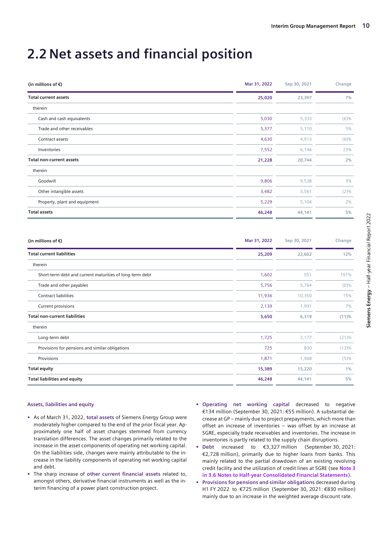## <span id="page-9-0"></span>**2.2 Net assets and financial position**

| (in millions of $\epsilon$ )    | Mar 31, 2022 | Sep 30, 2021 | Change  |
|---------------------------------|--------------|--------------|---------|
| <b>Total current assets</b>     | 25,020       | 23,397       | 7%      |
| therein                         |              |              |         |
| Cash and cash equivalents       | 5,030        | 5,333        | $(6)\%$ |
| Trade and other receivables     | 5,377        | 5,110        | 5%      |
| Contract assets                 | 4,630        | 4,913        | $(6)\%$ |
| Inventories                     | 7,552        | 6,146        | 23%     |
| <b>Total non-current assets</b> | 21,228       | 20,744       | 2%      |
| therein                         |              |              |         |
| Goodwill                        | 9,806        | 9,538        | 3%      |
| Other intangible assets         | 3,482        | 3,561        | $(2)\%$ |
| Property, plant and equipment   | 5,229        | 5,104        | 2%      |
| <b>Total assets</b>             | 46,248       | 44,141       | 5%      |

| (in millions of $\epsilon$ )                             | Mar 31, 2022 | Sep 30, 2021 | Change  |
|----------------------------------------------------------|--------------|--------------|---------|
| <b>Total current liabilities</b>                         | 25,209       | 22,602       | 12%     |
| therein                                                  |              |              |         |
| Short-term debt and current maturities of long-term debt | 1,602        | 551          | 191%    |
| Trade and other payables                                 | 5,756        | 5,764        | $(0)\%$ |
| Contract liabilities                                     | 11,936       | 10,350       | 15%     |
| Current provisions                                       | 2,139        | 1,991        | 7%      |
| <b>Total non-current liabilities</b>                     | 5,650        | 6,319        | (11)%   |
| therein                                                  |              |              |         |
| Long-term debt                                           | 1,725        | 2,177        | (21)%   |
| Provisions for pensions and similar obligations          | 725          | 830          | (13)%   |
| Provisions                                               | 1,871        | 1,968        | (5)%    |
| <b>Total equity</b>                                      | 15,389       | 15,220       | 1%      |
| <b>Total liabilities and equity</b>                      | 46,248       | 44,141       | 5%      |

#### **Assets, liabilities and equity**

- **•** As of March 31, 2022, **total assets** of Siemens Energy Group were moderately higher compared to the end of the prior fiscal year. Approximately one half of asset changes stemmed from currency translation differences. The asset changes primarily related to the increase in the asset components of operating net working capital. On the liabilities side, changes were mainly attributable to the increase in the liability components of operating net working capital and debt.
- **•** The sharp increase of **other current financial assets** related to, amongst others, derivative financial instruments as well as the interim financing of a power plant construction project.
- **• Operating net working capital** decreased to negative €134 million (September 30, 2021: €55 million). A substantial decrease at GP – mainly due to project prepayments, which more than offset an increase of inventories – was offset by an increase at SGRE, especially trade receivables and inventories. The increase in inventories is partly related to the supply chain disruptions.
- **• Debt** increased to €3,327 million (September 30, 2021: €2,728 million), primarily due to higher loans from banks. This mainly related to the partial drawdown of an existing revolving credit facility and the utilization of credit lines at SGRE (see **Note 3 in 3.6 Notes to Half-year Consolidated Financial Statements**).
- **• Provisions for pensions and similar obligations** decreased during H1 FY 2022 to €725 million (September 30, 2021: €830 million) mainly due to an increase in the weighted average discount rate.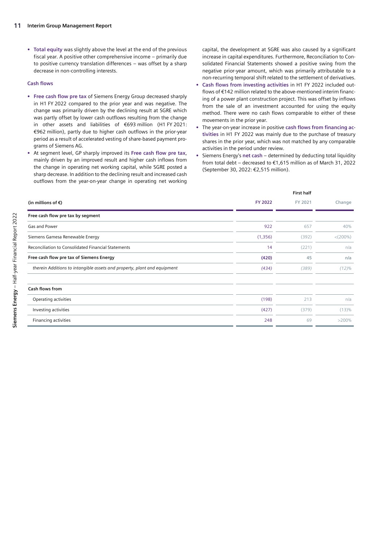**• Total equity** was slightly above the level at the end of the previous fiscal year. A positive other comprehensive income – primarily due to positive currency translation differences – was offset by a sharp decrease in non-controlling interests.

#### **Cash flows**

- **• Free cash flow pre tax** of Siemens Energy Group decreased sharply in H1 FY 2022 compared to the prior year and was negative. The change was primarily driven by the declining result at SGRE which was partly offset by lower cash outflows resulting from the change in other assets and liabilities of €693 million (H1 FY 2021: €962 million), partly due to higher cash outflows in the prior-year period as a result of accelerated vesting of share-based payment programs of Siemens AG.
- **•** At segment level, GP sharply improved its **Free cash flow pre tax**, mainly driven by an improved result and higher cash inflows from the change in operating net working capital, while SGRE posted a sharp decrease. In addition to the declining result and increased cash outflows from the year-on-year change in operating net working

capital, the development at SGRE was also caused by a significant increase in capital expenditures. Furthermore, Reconciliation to Consolidated Financial Statements showed a positive swing from the negative prior-year amount, which was primarily attributable to a non-recurring temporal shift related to the settlement of derivatives.

- **• Cash flows from investing activities** in H1 FY 2022 included outflows of €142 million related to the above-mentioned interim financing of a power plant construction project. This was offset by inflows from the sale of an investment accounted for using the equity method. There were no cash flows comparable to either of these movements in the prior year.
- **•** The year-on-year increase in positive **cash flows from financing activities** in H1 FY 2022 was mainly due to the purchase of treasury shares in the prior year, which was not matched by any comparable activities in the period under review.
- **•** Siemens Energy's **net cash** determined by deducting total liquidity from total debt – decreased to €1,615 million as of March 31, 2022 (September 30, 2022: €2,515 million).

|                                                                          |         | <b>First half</b> |             |
|--------------------------------------------------------------------------|---------|-------------------|-------------|
| (in millions of $\epsilon$ )                                             | FY 2022 | FY 2021           | Change      |
| Free cash flow pre tax by segment                                        |         |                   |             |
| Gas and Power                                                            | 922     | 657               | 40%         |
| Siemens Gamesa Renewable Energy                                          | (1,356) | (392)             | $< (200\%)$ |
| Reconciliation to Consolidated Financial Statements                      | 14      | (221)             | n/a         |
| Free cash flow pre tax of Siemens Energy                                 | (420)   | 45                | n/a         |
| therein Additions to intangible assets and property, plant and equipment | (434)   | (389)             | (12)%       |
| <b>Cash flows from</b>                                                   |         |                   |             |
| Operating activities                                                     | (198)   | 213               | n/a         |
| Investing activities                                                     | (427)   | (379)             | (13)%       |
| Financing activities                                                     | 248     | 69                | >200%       |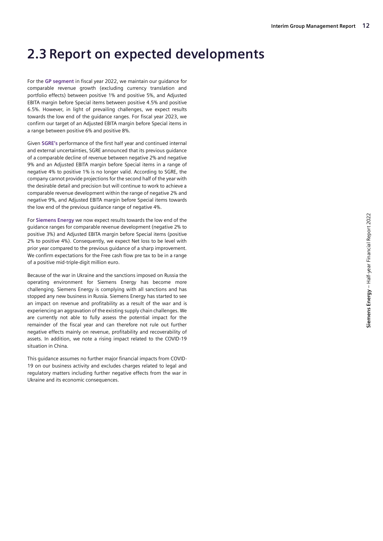### <span id="page-11-0"></span>**2.3 Report on expected developments**

For the **GP segment** in fiscal year 2022, we maintain our guidance for comparable revenue growth (excluding currency translation and portfolio effects) between positive 1% and positive 5%, and Adjusted EBITA margin before Special items between positive 4.5% and positive 6.5%. However, in light of prevailing challenges, we expect results towards the low end of the guidance ranges. For fiscal year 2023, we confirm our target of an Adjusted EBITA margin before Special items in a range between positive 6% and positive 8%.

Given **SGRE's** performance of the first half year and continued internal and external uncertainties, SGRE announced that its previous guidance of a comparable decline of revenue between negative 2% and negative 9% and an Adjusted EBITA margin before Special items in a range of negative 4% to positive 1% is no longer valid. According to SGRE, the company cannot provide projections for the second half of the year with the desirable detail and precision but will continue to work to achieve a comparable revenue development within the range of negative 2% and negative 9%, and Adjusted EBITA margin before Special items towards the low end of the previous guidance range of negative 4%.

For **Siemens Energy** we now expect results towards the low end of the guidance ranges for comparable revenue development (negative 2% to positive 3%) and Adjusted EBITA margin before Special items (positive 2% to positive 4%). Consequently, we expect Net loss to be level with prior year compared to the previous guidance of a sharp improvement. We confirm expectations for the Free cash flow pre tax to be in a range of a positive mid-triple-digit million euro.

Because of the war in Ukraine and the sanctions imposed on Russia the operating environment for Siemens Energy has become more challenging. Siemens Energy is complying with all sanctions and has stopped any new business in Russia. Siemens Energy has started to see an impact on revenue and profitability as a result of the war and is experiencing an aggravation of the existing supply chain challenges. We are currently not able to fully assess the potential impact for the remainder of the fiscal year and can therefore not rule out further negative effects mainly on revenue, profitability and recoverability of assets. In addition, we note a rising impact related to the COVID-19 situation in China.

This guidance assumes no further major financial impacts from COVID-19 on our business activity and excludes charges related to legal and regulatory matters including further negative effects from the war in Ukraine and its economic consequences.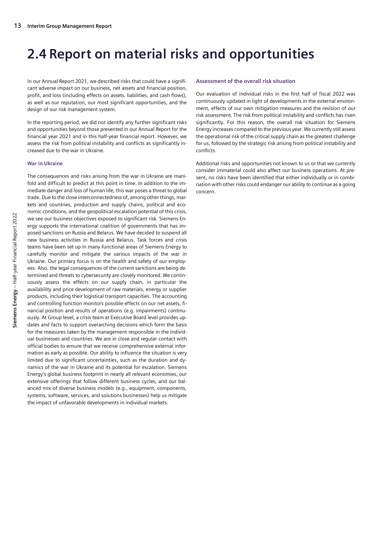### <span id="page-12-0"></span>**2.4 Report on material risks and opportunities**

In our Annual Report 2021, we described risks that could have a significant adverse impact on our business, net assets and financial position, profit, and loss (including effects on assets, liabilities, and cash flows), as well as our reputation, our most significant opportunities, and the design of our risk management system.

In the reporting period, we did not identify any further significant risks and opportunities beyond those presented in our Annual Report for the financial year 2021 and in this half-year financial report. However, we assess the risk from political instability and conflicts as significantly increased due to the war in Ukraine.

#### **War in Ukraine**

The consequences and risks arising from the war in Ukraine are manifold and difficult to predict at this point in time. In addition to the immediate danger and loss of human life, this war poses a threat to global trade. Due to the close interconnectedness of, among other things, markets and countries, production and supply chains, political and economic conditions, and the geopolitical escalation potential of this crisis, we see our business objectives exposed to significant risk. Siemens Energy supports the international coalition of governments that has imposed sanctions on Russia and Belarus. We have decided to suspend all new business activities in Russia and Belarus. Task forces and crisis teams have been set up in many functional areas of Siemens Energy to carefully monitor and mitigate the various impacts of the war in Ukraine. Our primary focus is on the health and safety of our employees. Also, the legal consequences of the current sanctions are being determined and threats to cybersecurity are closely monitored. We continuously assess the effects on our supply chain, in particular the availability and price development of raw materials, energy or supplier products, including their logistical transport capacities. The accounting and controlling function monitors possible effects on our net assets, financial position and results of operations (e.g. impairments) continuously. At Group level, a crisis team at Executive Board level provides updates and facts to support overarching decisions which form the basis for the measures taken by the management responsible in the individual businesses and countries. We are in close and regular contact with official bodies to ensure that we receive comprehensive external information as early as possible. Our ability to influence the situation is very limited due to significant uncertainties, such as the duration and dynamics of the war in Ukraine and its potential for escalation. Siemens Energy's global business footprint in nearly all relevant economies, our extensive offerings that follow different business cycles, and our balanced mix of diverse business models (e.g., equipment, components, systems, software, services, and solutions businesses) help us mitigate the impact of unfavorable developments in individual markets.

#### **Assessment of the overall risk situation**

Our evaluation of individual risks in the first half of fiscal 2022 was continuously updated in light of developments in the external environment, effects of our own mitigation measures and the revision of our risk assessment. The risk from political instability and conflicts has risen significantly. For this reason, the overall risk situation for Siemens Energy increases compared to the previous year. We currently still assess the operational risk of the critical supply chain as the greatest challenge for us, followed by the strategic risk arising from political instability and conflicts.

Additional risks and opportunities not known to us or that we currently consider immaterial could also affect our business operations. At present, no risks have been identified that either individually or in combination with other risks could endanger our ability to continue as a going concern.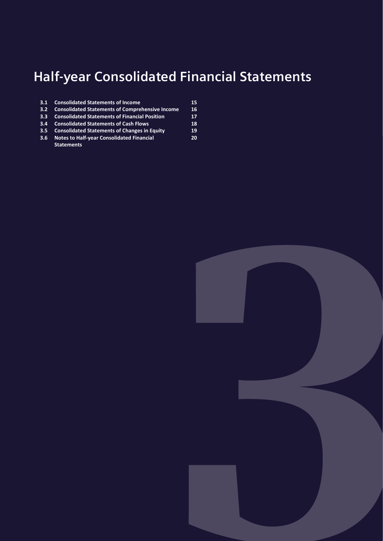## <span id="page-13-0"></span>**Half-year Consolidated Financial Statements**

**20**

- **3.1 [Consolidated Statements](#page-14-0) of Income 15 3.2 [Consolidated Statements of Comprehensive Income](#page-15-0) 16**
- **3.3 [Consolidated Statements of Financial Position](#page-16-0) 17**
- **3.4 [Consolidated Statements of Cash Flows](#page-17-0) 18**
- **3.5 [Consolidated Statements of Changes in Equity](#page-18-0) 19**
- **3.6 [Notes to Half-year Consolidated Financial](#page-19-0)  [Statements](#page-19-0)**

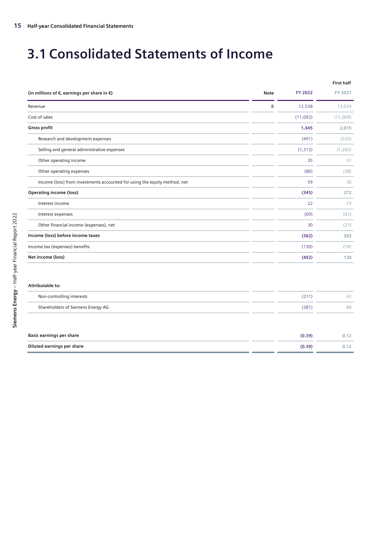## <span id="page-14-0"></span>**3.1 Consolidated Statements of Income**

|                                                                           |             |                | <b>First half</b> |
|---------------------------------------------------------------------------|-------------|----------------|-------------------|
| (in millions of $\epsilon$ , earnings per share in $\epsilon$ )           | <b>Note</b> | <b>FY 2022</b> | FY 2021           |
| Revenue                                                                   | 8           | 12,538         | 13,024            |
| Cost of sales                                                             |             | (11,093)       | (11,009)          |
| <b>Gross profit</b>                                                       |             | 1,445          | 2,015             |
| Research and development expenses                                         |             | (491)          | (525)             |
| Selling and general administrative expenses                               |             | (1, 313)       | (1, 262)          |
| Other operating income                                                    |             | 35             | 51                |
| Other operating expenses                                                  |             | (80)           | (38)              |
| Income (loss) from investments accounted for using the equity method, net |             | 59             | 30                |
| <b>Operating income (loss)</b>                                            |             | (345)          | 272               |
| Interest income                                                           |             | 22             | 13                |
| Interest expenses                                                         |             | (69)           | (61)              |
| Other financial income (expenses), net                                    |             | 30             | (21)              |
| Income (loss) before income taxes                                         |             | (362)          | 203               |
| Income tax (expenses) benefits                                            |             | (130)          | (74)              |
| Net income (loss)                                                         |             | (492)          | 130               |
|                                                                           |             |                |                   |
| Attributable to:                                                          |             |                |                   |
| Non-controlling interests                                                 |             | (211)          | 42                |
| Shareholders of Siemens Energy AG                                         |             | (281)          | 88                |
|                                                                           |             |                |                   |
| <b>Basic earnings per share</b>                                           |             | (0.39)         | 0.12              |
| Diluted earnings per share                                                |             | (0.39)         | 0.12              |
|                                                                           |             |                |                   |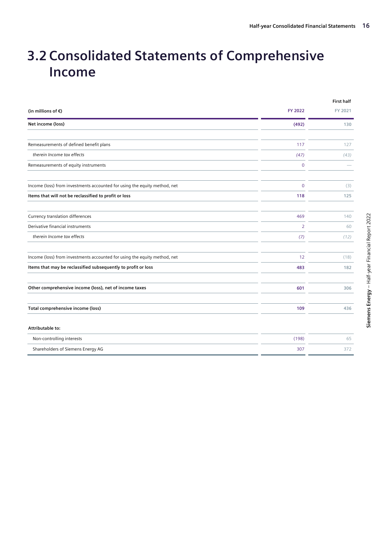## <span id="page-15-0"></span>**3.2 Consolidated Statements of Comprehensive Income**

|                                                                           |                | <b>First half</b> |
|---------------------------------------------------------------------------|----------------|-------------------|
| (in millions of $\epsilon$ )                                              | <b>FY 2022</b> | FY 2021           |
| Net income (loss)                                                         | (492)          | 130               |
|                                                                           |                |                   |
| Remeasurements of defined benefit plans                                   | 117            | 127               |
| therein Income tax effects                                                | (47)           | (43)              |
| Remeasurements of equity instruments                                      | $\overline{0}$ |                   |
| Income (loss) from investments accounted for using the equity method, net | $\Omega$       | (3)               |
| Items that will not be reclassified to profit or loss                     | 118            | 125               |
| Currency translation differences                                          | 469            | 140               |
| Derivative financial instruments                                          | $\overline{2}$ | 60                |
| therein Income tax effects                                                | (7)            | (12)              |
| Income (loss) from investments accounted for using the equity method, net | 12             | (18)              |
| Items that may be reclassified subsequently to profit or loss             | 483            | 182               |
| Other comprehensive income (loss), net of income taxes                    | 601            | 306               |
| Total comprehensive income (loss)                                         | 109            | 436               |
| Attributable to:                                                          |                |                   |
| Non-controlling interests                                                 | (198)          | 65                |
| Shareholders of Siemens Energy AG                                         | 307            | 372               |
|                                                                           |                |                   |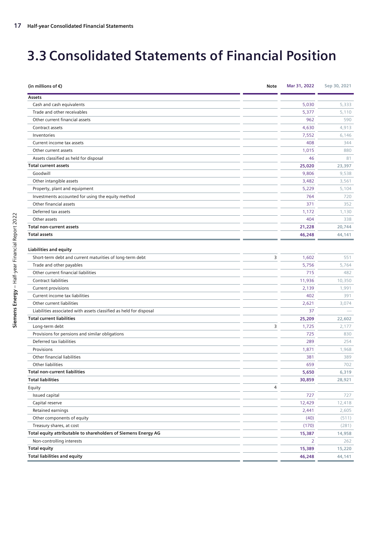## <span id="page-16-0"></span>**3.3 Consolidated Statements of Financial Position**

| Assets<br>Cash and cash equivalents<br>5,030<br>5,333<br>Trade and other receivables<br>5,377<br>5,110<br>Other current financial assets<br>962<br>590<br>Contract assets<br>4,630<br>4,913<br>Inventories<br>7,552<br>6,146<br>408<br>Current income tax assets<br>344<br>Other current assets<br>1,015<br>880<br>Assets classified as held for disposal<br>46<br>81<br><b>Total current assets</b><br>25,020<br>23,397<br>Goodwill<br>9,806<br>9,538<br>Other intangible assets<br>3,482<br>3,561<br>Property, plant and equipment<br>5,229<br>5,104<br>Investments accounted for using the equity method<br>764<br>720<br>Other financial assets<br>371<br>352<br>Deferred tax assets<br>1,172<br>1,130<br>Other assets<br>404<br>338<br><b>Total non-current assets</b><br>21,228<br>20,744<br>46,248<br>44,141<br><b>Total assets</b><br><b>Liabilities and equity</b><br>Short-term debt and current maturities of long-term debt<br>3<br>1,602<br>551<br>Trade and other payables<br>5,756<br>5,764<br>Other current financial liabilities<br>715<br>482<br>Contract liabilities<br>11,936<br>10,350<br>Current provisions<br>2,139<br>1,991<br>Current income tax liabilities<br>402<br>391<br>Other current liabilities<br>2,621<br>3,074<br>Liabilities associated with assets classified as held for disposal<br>37<br><b>Total current liabilities</b><br>25,209<br>22,602<br>3<br>1,725<br>Long-term debt<br>2,177<br>Provisions for pensions and similar obligations<br>725<br>830<br>Deferred tax liabilities<br>289<br>254<br>Provisions<br>1,871<br>1,968<br>Other financial liabilities<br>381<br>389<br>Other liabilities<br>659<br>702<br><b>Total non-current liabilities</b><br>5,650<br>6,319<br><b>Total liabilities</b><br>30,859<br>28,921<br>Equity<br>4<br>727<br>Issued capital<br>727<br>Capital reserve<br>12,429<br>12,418<br>Retained earnings<br>2,441<br>2,605<br>(40)<br>Other components of equity<br>(511)<br>(170)<br>Treasury shares, at cost<br>(281)<br>Total equity attributable to shareholders of Siemens Energy AG<br>15,387<br>14,958<br>Non-controlling interests<br>2<br>262<br><b>Total equity</b><br>15,389<br>15,220<br><b>Total liabilities and equity</b><br>46,248<br>44,141 | (in millions of $\epsilon$ ) | Note | Mar 31, 2022 | Sep 30, 2021 |
|-------------------------------------------------------------------------------------------------------------------------------------------------------------------------------------------------------------------------------------------------------------------------------------------------------------------------------------------------------------------------------------------------------------------------------------------------------------------------------------------------------------------------------------------------------------------------------------------------------------------------------------------------------------------------------------------------------------------------------------------------------------------------------------------------------------------------------------------------------------------------------------------------------------------------------------------------------------------------------------------------------------------------------------------------------------------------------------------------------------------------------------------------------------------------------------------------------------------------------------------------------------------------------------------------------------------------------------------------------------------------------------------------------------------------------------------------------------------------------------------------------------------------------------------------------------------------------------------------------------------------------------------------------------------------------------------------------------------------------------------------------------------------------------------------------------------------------------------------------------------------------------------------------------------------------------------------------------------------------------------------------------------------------------------------------------------------------------------------------------------------------------------------------------------------------------------------------------------------------------|------------------------------|------|--------------|--------------|
|                                                                                                                                                                                                                                                                                                                                                                                                                                                                                                                                                                                                                                                                                                                                                                                                                                                                                                                                                                                                                                                                                                                                                                                                                                                                                                                                                                                                                                                                                                                                                                                                                                                                                                                                                                                                                                                                                                                                                                                                                                                                                                                                                                                                                                     |                              |      |              |              |
|                                                                                                                                                                                                                                                                                                                                                                                                                                                                                                                                                                                                                                                                                                                                                                                                                                                                                                                                                                                                                                                                                                                                                                                                                                                                                                                                                                                                                                                                                                                                                                                                                                                                                                                                                                                                                                                                                                                                                                                                                                                                                                                                                                                                                                     |                              |      |              |              |
|                                                                                                                                                                                                                                                                                                                                                                                                                                                                                                                                                                                                                                                                                                                                                                                                                                                                                                                                                                                                                                                                                                                                                                                                                                                                                                                                                                                                                                                                                                                                                                                                                                                                                                                                                                                                                                                                                                                                                                                                                                                                                                                                                                                                                                     |                              |      |              |              |
|                                                                                                                                                                                                                                                                                                                                                                                                                                                                                                                                                                                                                                                                                                                                                                                                                                                                                                                                                                                                                                                                                                                                                                                                                                                                                                                                                                                                                                                                                                                                                                                                                                                                                                                                                                                                                                                                                                                                                                                                                                                                                                                                                                                                                                     |                              |      |              |              |
|                                                                                                                                                                                                                                                                                                                                                                                                                                                                                                                                                                                                                                                                                                                                                                                                                                                                                                                                                                                                                                                                                                                                                                                                                                                                                                                                                                                                                                                                                                                                                                                                                                                                                                                                                                                                                                                                                                                                                                                                                                                                                                                                                                                                                                     |                              |      |              |              |
|                                                                                                                                                                                                                                                                                                                                                                                                                                                                                                                                                                                                                                                                                                                                                                                                                                                                                                                                                                                                                                                                                                                                                                                                                                                                                                                                                                                                                                                                                                                                                                                                                                                                                                                                                                                                                                                                                                                                                                                                                                                                                                                                                                                                                                     |                              |      |              |              |
|                                                                                                                                                                                                                                                                                                                                                                                                                                                                                                                                                                                                                                                                                                                                                                                                                                                                                                                                                                                                                                                                                                                                                                                                                                                                                                                                                                                                                                                                                                                                                                                                                                                                                                                                                                                                                                                                                                                                                                                                                                                                                                                                                                                                                                     |                              |      |              |              |
|                                                                                                                                                                                                                                                                                                                                                                                                                                                                                                                                                                                                                                                                                                                                                                                                                                                                                                                                                                                                                                                                                                                                                                                                                                                                                                                                                                                                                                                                                                                                                                                                                                                                                                                                                                                                                                                                                                                                                                                                                                                                                                                                                                                                                                     |                              |      |              |              |
|                                                                                                                                                                                                                                                                                                                                                                                                                                                                                                                                                                                                                                                                                                                                                                                                                                                                                                                                                                                                                                                                                                                                                                                                                                                                                                                                                                                                                                                                                                                                                                                                                                                                                                                                                                                                                                                                                                                                                                                                                                                                                                                                                                                                                                     |                              |      |              |              |
|                                                                                                                                                                                                                                                                                                                                                                                                                                                                                                                                                                                                                                                                                                                                                                                                                                                                                                                                                                                                                                                                                                                                                                                                                                                                                                                                                                                                                                                                                                                                                                                                                                                                                                                                                                                                                                                                                                                                                                                                                                                                                                                                                                                                                                     |                              |      |              |              |
|                                                                                                                                                                                                                                                                                                                                                                                                                                                                                                                                                                                                                                                                                                                                                                                                                                                                                                                                                                                                                                                                                                                                                                                                                                                                                                                                                                                                                                                                                                                                                                                                                                                                                                                                                                                                                                                                                                                                                                                                                                                                                                                                                                                                                                     |                              |      |              |              |
|                                                                                                                                                                                                                                                                                                                                                                                                                                                                                                                                                                                                                                                                                                                                                                                                                                                                                                                                                                                                                                                                                                                                                                                                                                                                                                                                                                                                                                                                                                                                                                                                                                                                                                                                                                                                                                                                                                                                                                                                                                                                                                                                                                                                                                     |                              |      |              |              |
|                                                                                                                                                                                                                                                                                                                                                                                                                                                                                                                                                                                                                                                                                                                                                                                                                                                                                                                                                                                                                                                                                                                                                                                                                                                                                                                                                                                                                                                                                                                                                                                                                                                                                                                                                                                                                                                                                                                                                                                                                                                                                                                                                                                                                                     |                              |      |              |              |
|                                                                                                                                                                                                                                                                                                                                                                                                                                                                                                                                                                                                                                                                                                                                                                                                                                                                                                                                                                                                                                                                                                                                                                                                                                                                                                                                                                                                                                                                                                                                                                                                                                                                                                                                                                                                                                                                                                                                                                                                                                                                                                                                                                                                                                     |                              |      |              |              |
|                                                                                                                                                                                                                                                                                                                                                                                                                                                                                                                                                                                                                                                                                                                                                                                                                                                                                                                                                                                                                                                                                                                                                                                                                                                                                                                                                                                                                                                                                                                                                                                                                                                                                                                                                                                                                                                                                                                                                                                                                                                                                                                                                                                                                                     |                              |      |              |              |
|                                                                                                                                                                                                                                                                                                                                                                                                                                                                                                                                                                                                                                                                                                                                                                                                                                                                                                                                                                                                                                                                                                                                                                                                                                                                                                                                                                                                                                                                                                                                                                                                                                                                                                                                                                                                                                                                                                                                                                                                                                                                                                                                                                                                                                     |                              |      |              |              |
|                                                                                                                                                                                                                                                                                                                                                                                                                                                                                                                                                                                                                                                                                                                                                                                                                                                                                                                                                                                                                                                                                                                                                                                                                                                                                                                                                                                                                                                                                                                                                                                                                                                                                                                                                                                                                                                                                                                                                                                                                                                                                                                                                                                                                                     |                              |      |              |              |
|                                                                                                                                                                                                                                                                                                                                                                                                                                                                                                                                                                                                                                                                                                                                                                                                                                                                                                                                                                                                                                                                                                                                                                                                                                                                                                                                                                                                                                                                                                                                                                                                                                                                                                                                                                                                                                                                                                                                                                                                                                                                                                                                                                                                                                     |                              |      |              |              |
|                                                                                                                                                                                                                                                                                                                                                                                                                                                                                                                                                                                                                                                                                                                                                                                                                                                                                                                                                                                                                                                                                                                                                                                                                                                                                                                                                                                                                                                                                                                                                                                                                                                                                                                                                                                                                                                                                                                                                                                                                                                                                                                                                                                                                                     |                              |      |              |              |
|                                                                                                                                                                                                                                                                                                                                                                                                                                                                                                                                                                                                                                                                                                                                                                                                                                                                                                                                                                                                                                                                                                                                                                                                                                                                                                                                                                                                                                                                                                                                                                                                                                                                                                                                                                                                                                                                                                                                                                                                                                                                                                                                                                                                                                     |                              |      |              |              |
|                                                                                                                                                                                                                                                                                                                                                                                                                                                                                                                                                                                                                                                                                                                                                                                                                                                                                                                                                                                                                                                                                                                                                                                                                                                                                                                                                                                                                                                                                                                                                                                                                                                                                                                                                                                                                                                                                                                                                                                                                                                                                                                                                                                                                                     |                              |      |              |              |
|                                                                                                                                                                                                                                                                                                                                                                                                                                                                                                                                                                                                                                                                                                                                                                                                                                                                                                                                                                                                                                                                                                                                                                                                                                                                                                                                                                                                                                                                                                                                                                                                                                                                                                                                                                                                                                                                                                                                                                                                                                                                                                                                                                                                                                     |                              |      |              |              |
|                                                                                                                                                                                                                                                                                                                                                                                                                                                                                                                                                                                                                                                                                                                                                                                                                                                                                                                                                                                                                                                                                                                                                                                                                                                                                                                                                                                                                                                                                                                                                                                                                                                                                                                                                                                                                                                                                                                                                                                                                                                                                                                                                                                                                                     |                              |      |              |              |
|                                                                                                                                                                                                                                                                                                                                                                                                                                                                                                                                                                                                                                                                                                                                                                                                                                                                                                                                                                                                                                                                                                                                                                                                                                                                                                                                                                                                                                                                                                                                                                                                                                                                                                                                                                                                                                                                                                                                                                                                                                                                                                                                                                                                                                     |                              |      |              |              |
|                                                                                                                                                                                                                                                                                                                                                                                                                                                                                                                                                                                                                                                                                                                                                                                                                                                                                                                                                                                                                                                                                                                                                                                                                                                                                                                                                                                                                                                                                                                                                                                                                                                                                                                                                                                                                                                                                                                                                                                                                                                                                                                                                                                                                                     |                              |      |              |              |
|                                                                                                                                                                                                                                                                                                                                                                                                                                                                                                                                                                                                                                                                                                                                                                                                                                                                                                                                                                                                                                                                                                                                                                                                                                                                                                                                                                                                                                                                                                                                                                                                                                                                                                                                                                                                                                                                                                                                                                                                                                                                                                                                                                                                                                     |                              |      |              |              |
|                                                                                                                                                                                                                                                                                                                                                                                                                                                                                                                                                                                                                                                                                                                                                                                                                                                                                                                                                                                                                                                                                                                                                                                                                                                                                                                                                                                                                                                                                                                                                                                                                                                                                                                                                                                                                                                                                                                                                                                                                                                                                                                                                                                                                                     |                              |      |              |              |
|                                                                                                                                                                                                                                                                                                                                                                                                                                                                                                                                                                                                                                                                                                                                                                                                                                                                                                                                                                                                                                                                                                                                                                                                                                                                                                                                                                                                                                                                                                                                                                                                                                                                                                                                                                                                                                                                                                                                                                                                                                                                                                                                                                                                                                     |                              |      |              |              |
|                                                                                                                                                                                                                                                                                                                                                                                                                                                                                                                                                                                                                                                                                                                                                                                                                                                                                                                                                                                                                                                                                                                                                                                                                                                                                                                                                                                                                                                                                                                                                                                                                                                                                                                                                                                                                                                                                                                                                                                                                                                                                                                                                                                                                                     |                              |      |              |              |
|                                                                                                                                                                                                                                                                                                                                                                                                                                                                                                                                                                                                                                                                                                                                                                                                                                                                                                                                                                                                                                                                                                                                                                                                                                                                                                                                                                                                                                                                                                                                                                                                                                                                                                                                                                                                                                                                                                                                                                                                                                                                                                                                                                                                                                     |                              |      |              |              |
|                                                                                                                                                                                                                                                                                                                                                                                                                                                                                                                                                                                                                                                                                                                                                                                                                                                                                                                                                                                                                                                                                                                                                                                                                                                                                                                                                                                                                                                                                                                                                                                                                                                                                                                                                                                                                                                                                                                                                                                                                                                                                                                                                                                                                                     |                              |      |              |              |
|                                                                                                                                                                                                                                                                                                                                                                                                                                                                                                                                                                                                                                                                                                                                                                                                                                                                                                                                                                                                                                                                                                                                                                                                                                                                                                                                                                                                                                                                                                                                                                                                                                                                                                                                                                                                                                                                                                                                                                                                                                                                                                                                                                                                                                     |                              |      |              |              |
|                                                                                                                                                                                                                                                                                                                                                                                                                                                                                                                                                                                                                                                                                                                                                                                                                                                                                                                                                                                                                                                                                                                                                                                                                                                                                                                                                                                                                                                                                                                                                                                                                                                                                                                                                                                                                                                                                                                                                                                                                                                                                                                                                                                                                                     |                              |      |              |              |
|                                                                                                                                                                                                                                                                                                                                                                                                                                                                                                                                                                                                                                                                                                                                                                                                                                                                                                                                                                                                                                                                                                                                                                                                                                                                                                                                                                                                                                                                                                                                                                                                                                                                                                                                                                                                                                                                                                                                                                                                                                                                                                                                                                                                                                     |                              |      |              |              |
|                                                                                                                                                                                                                                                                                                                                                                                                                                                                                                                                                                                                                                                                                                                                                                                                                                                                                                                                                                                                                                                                                                                                                                                                                                                                                                                                                                                                                                                                                                                                                                                                                                                                                                                                                                                                                                                                                                                                                                                                                                                                                                                                                                                                                                     |                              |      |              |              |
|                                                                                                                                                                                                                                                                                                                                                                                                                                                                                                                                                                                                                                                                                                                                                                                                                                                                                                                                                                                                                                                                                                                                                                                                                                                                                                                                                                                                                                                                                                                                                                                                                                                                                                                                                                                                                                                                                                                                                                                                                                                                                                                                                                                                                                     |                              |      |              |              |
|                                                                                                                                                                                                                                                                                                                                                                                                                                                                                                                                                                                                                                                                                                                                                                                                                                                                                                                                                                                                                                                                                                                                                                                                                                                                                                                                                                                                                                                                                                                                                                                                                                                                                                                                                                                                                                                                                                                                                                                                                                                                                                                                                                                                                                     |                              |      |              |              |
|                                                                                                                                                                                                                                                                                                                                                                                                                                                                                                                                                                                                                                                                                                                                                                                                                                                                                                                                                                                                                                                                                                                                                                                                                                                                                                                                                                                                                                                                                                                                                                                                                                                                                                                                                                                                                                                                                                                                                                                                                                                                                                                                                                                                                                     |                              |      |              |              |
|                                                                                                                                                                                                                                                                                                                                                                                                                                                                                                                                                                                                                                                                                                                                                                                                                                                                                                                                                                                                                                                                                                                                                                                                                                                                                                                                                                                                                                                                                                                                                                                                                                                                                                                                                                                                                                                                                                                                                                                                                                                                                                                                                                                                                                     |                              |      |              |              |
|                                                                                                                                                                                                                                                                                                                                                                                                                                                                                                                                                                                                                                                                                                                                                                                                                                                                                                                                                                                                                                                                                                                                                                                                                                                                                                                                                                                                                                                                                                                                                                                                                                                                                                                                                                                                                                                                                                                                                                                                                                                                                                                                                                                                                                     |                              |      |              |              |
|                                                                                                                                                                                                                                                                                                                                                                                                                                                                                                                                                                                                                                                                                                                                                                                                                                                                                                                                                                                                                                                                                                                                                                                                                                                                                                                                                                                                                                                                                                                                                                                                                                                                                                                                                                                                                                                                                                                                                                                                                                                                                                                                                                                                                                     |                              |      |              |              |
|                                                                                                                                                                                                                                                                                                                                                                                                                                                                                                                                                                                                                                                                                                                                                                                                                                                                                                                                                                                                                                                                                                                                                                                                                                                                                                                                                                                                                                                                                                                                                                                                                                                                                                                                                                                                                                                                                                                                                                                                                                                                                                                                                                                                                                     |                              |      |              |              |
|                                                                                                                                                                                                                                                                                                                                                                                                                                                                                                                                                                                                                                                                                                                                                                                                                                                                                                                                                                                                                                                                                                                                                                                                                                                                                                                                                                                                                                                                                                                                                                                                                                                                                                                                                                                                                                                                                                                                                                                                                                                                                                                                                                                                                                     |                              |      |              |              |
|                                                                                                                                                                                                                                                                                                                                                                                                                                                                                                                                                                                                                                                                                                                                                                                                                                                                                                                                                                                                                                                                                                                                                                                                                                                                                                                                                                                                                                                                                                                                                                                                                                                                                                                                                                                                                                                                                                                                                                                                                                                                                                                                                                                                                                     |                              |      |              |              |
|                                                                                                                                                                                                                                                                                                                                                                                                                                                                                                                                                                                                                                                                                                                                                                                                                                                                                                                                                                                                                                                                                                                                                                                                                                                                                                                                                                                                                                                                                                                                                                                                                                                                                                                                                                                                                                                                                                                                                                                                                                                                                                                                                                                                                                     |                              |      |              |              |
|                                                                                                                                                                                                                                                                                                                                                                                                                                                                                                                                                                                                                                                                                                                                                                                                                                                                                                                                                                                                                                                                                                                                                                                                                                                                                                                                                                                                                                                                                                                                                                                                                                                                                                                                                                                                                                                                                                                                                                                                                                                                                                                                                                                                                                     |                              |      |              |              |
|                                                                                                                                                                                                                                                                                                                                                                                                                                                                                                                                                                                                                                                                                                                                                                                                                                                                                                                                                                                                                                                                                                                                                                                                                                                                                                                                                                                                                                                                                                                                                                                                                                                                                                                                                                                                                                                                                                                                                                                                                                                                                                                                                                                                                                     |                              |      |              |              |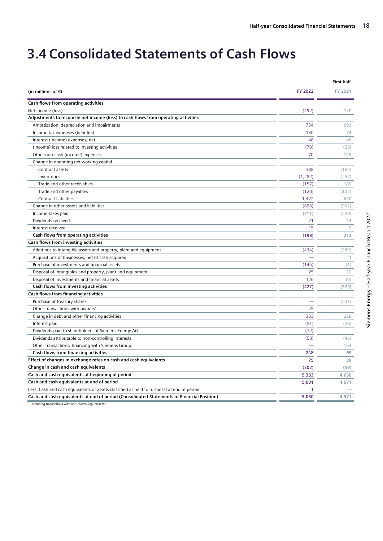## <span id="page-17-0"></span>**3.4 Consolidated Statements of Cash Flows**

|                                                                                            |          | <b>First half</b> |
|--------------------------------------------------------------------------------------------|----------|-------------------|
| (in millions of $\epsilon$ )                                                               | FY 2022  | FY 2021           |
| Cash flows from operating activities                                                       |          |                   |
| Net income (loss)                                                                          | (492)    | 130               |
| Adjustments to reconcile net income (loss) to cash flows from operating activities         |          |                   |
| Amortization, depreciation and impairments                                                 | 734      | 699               |
| Income tax expenses (benefits)                                                             | 130      | 74                |
| Interest (income) expenses, net                                                            | 48       | 48                |
| (Income) loss related to investing activities                                              | (70)     | (26)              |
| Other non-cash (income) expenses                                                           | 70       | 149               |
| Change in operating net working capital                                                    |          |                   |
| Contract assets                                                                            | 388      | (167)             |
| Inventories                                                                                | (1, 282) | (257)             |
| Trade and other receivables                                                                | (157)    | 189               |
| Trade and other payables                                                                   | (120)    | (105)             |
| <b>Contract liabilities</b>                                                                | 1,422    | 640               |
| Change in other assets and liabilities                                                     | (693)    | (962)             |
| Income taxes paid                                                                          | (211)    | (220)             |
| Dividends received                                                                         | 21       | 14                |
| Interest received                                                                          | 15       | 9                 |
| Cash flows from operating activities                                                       | (198)    | 213               |
| Cash flows from investing activities                                                       |          |                   |
| Additions to intangible assets and property, plant and equipment                           | (434)    | (389)             |
| Acquisitions of businesses, net of cash acquired                                           |          | $\mathbf{1}$      |
| Purchase of investments and financial assets                                               | (145)    | (1)               |
| Disposal of intangibles and property, plant and equipment                                  | 25       | 10                |
| Disposal of investments and financial assets                                               | 126      | (0)               |
| Cash flows from investing activities                                                       | (427)    | (379)             |
| Cash flows from financing activities                                                       |          |                   |
| Purchase of treasury shares                                                                |          | (231)             |
| Other transactions with owners <sup>1</sup>                                                | 45       |                   |
| Change in debt and other financing activities                                              | 383      | 228               |
| Interest paid                                                                              | (51)     | (46)              |
| Dividends paid to shareholders of Siemens Energy AG                                        | (72)     |                   |
| Dividends attributable to non-controlling interests                                        | (58)     | (46)              |
| Other transactions/ financing with Siemens Group                                           |          | 164               |
| Cash flows from financing activities                                                       | 248      | 69                |
| Effect of changes in exchange rates on cash and cash equivalents                           | 75       | 39                |
| Change in cash and cash equivalents                                                        | (302)    | (59)              |
| Cash and cash equivalents at beginning of period                                           | 5,333    | 4,630             |
| Cash and cash equivalents at end of period                                                 | 5,031    | 4,571             |
| Less: Cash and cash equivalents of assets classified as held for disposal at end of period | 1        |                   |
| Cash and cash equivalents at end of period (Consolidated Statements of Financial Position) | 5,030    | 4,571             |
|                                                                                            |          |                   |

1 Including transactions with non-controlling interests.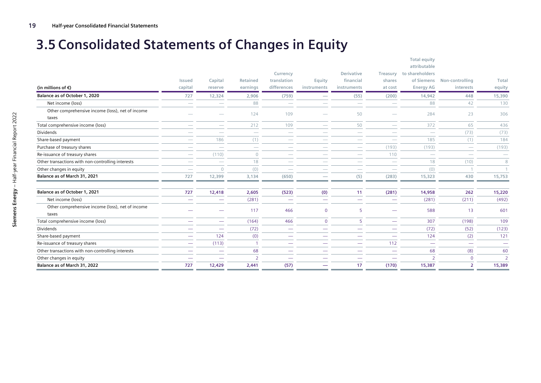## **3.5 Consolidated Statements of Changes in Equity**

<span id="page-18-0"></span>

|                                                   |                          |                          |                          |                            |                       |                          |                          | <b>Total equity</b><br>attributable |                              |                          |
|---------------------------------------------------|--------------------------|--------------------------|--------------------------|----------------------------|-----------------------|--------------------------|--------------------------|-------------------------------------|------------------------------|--------------------------|
|                                                   |                          |                          |                          | Currency                   |                       | Derivative               | Treasury                 | to shareholders                     |                              |                          |
| (in millions of $\epsilon$ )                      | Issued<br>capital        | Capital<br>reserve       | Retained<br>earnings     | translation<br>differences | Equity<br>instruments | financial<br>instruments | shares<br>at cost        | of Siemens<br><b>Energy AG</b>      | Non-controlling<br>interests | Total<br>equity          |
|                                                   |                          |                          |                          |                            |                       |                          |                          |                                     |                              |                          |
| Balance as of October 1, 2020                     | 727                      | 12,324                   | 2,906                    | (759)                      |                       | (55)                     | (200)                    | 14,942                              | 448                          | 15,390                   |
| Net income (loss)                                 | $\overline{\phantom{a}}$ |                          | 88                       | -                          |                       | -                        | $\sim$                   | 88                                  | 42                           | 130                      |
| Other comprehensive income (loss), net of income  |                          |                          | 124                      | 109                        |                       | 50                       |                          | 284                                 | 23                           | 306                      |
| taxes                                             |                          |                          |                          |                            |                       |                          |                          |                                     |                              |                          |
| Total comprehensive income (loss)                 |                          |                          | 212                      | 109                        |                       | 50                       |                          | 372                                 | 65                           | 436                      |
| <b>Dividends</b>                                  |                          | -                        | $\overline{\phantom{a}}$ | -                          |                       | -                        | -                        | $\overline{\phantom{a}}$            | (73)                         | (73)                     |
| Share-based payment                               |                          | 186                      | (1)                      |                            |                       |                          |                          | 185                                 | (1)                          | 184                      |
| Purchase of treasury shares                       |                          |                          | $\overline{\phantom{a}}$ |                            |                       |                          | (193)                    | (193)                               |                              | (193)                    |
| Re-issuance of treasury shares                    |                          | (110)                    | $\Omega$                 |                            |                       |                          | 110                      | -                                   |                              | $\overline{\phantom{a}}$ |
| Other transactions with non-controlling interests |                          |                          | 18                       |                            |                       |                          |                          | 18                                  | (10)                         | 8                        |
| Other changes in equity                           | $\sim$                   | $\Omega$                 | (0)                      | --                         |                       |                          | -                        | (0)                                 |                              | $\mathbf{1}$             |
| Balance as of March 31, 2021                      | 727                      | 12,399                   | 3,134                    | (650)                      |                       | (5)                      | (283)                    | 15,323                              | 430                          | 15,753                   |
| Balance as of October 1, 2021                     | 727                      | 12,418                   | 2,605                    | (523)                      | (0)                   | 11                       | (281)                    | 14,958                              | 262                          | 15,220                   |
| Net income (loss)                                 | -                        |                          | (281)                    |                            | -                     |                          | $\overline{\phantom{a}}$ | (281)                               | (211)                        | (492)                    |
| Other comprehensive income (loss), net of income  |                          |                          | 117                      | 466                        |                       |                          |                          |                                     |                              |                          |
| taxes                                             |                          |                          |                          |                            | $\mathbf{0}$          | 5                        | -                        | 588                                 | 13                           | 601                      |
| Total comprehensive income (loss)                 |                          |                          | (164)                    | 466                        | $\mathbf{0}$          | 5                        |                          | 307                                 | (198)                        | 109                      |
| <b>Dividends</b>                                  | -                        | -                        | (72)                     | -                          | -                     | -                        | -                        | (72)                                | (52)                         | (123)                    |
| Share-based payment                               | -                        | 124                      | (0)                      | -                          |                       |                          | -                        | 124                                 | (2)                          | 121                      |
| Re-issuance of treasury shares                    | $\hspace{0.05cm}$        | (113)                    | -1                       | -                          | and the               | --                       | 112                      | $\overline{\phantom{a}}$            | $\overline{\phantom{0}}$     | $\overline{\phantom{m}}$ |
| Other transactions with non-controlling interests | $\overline{\phantom{0}}$ | $\overline{\phantom{0}}$ | 68                       | --                         |                       | -                        | $\sim$                   | 68                                  | (8)                          | 60                       |
| Other changes in equity                           | -                        |                          | $\mathcal{D}$            |                            |                       |                          |                          | $\mathcal{D}$                       | $\Omega$                     | $\overline{2}$           |
| Balance as of March 31, 2022                      | 727                      | 12,429                   | 2,441                    | (57)                       |                       | 17                       | (170)                    | 15,387                              | $\overline{2}$               | 15,389                   |
|                                                   |                          |                          |                          |                            |                       |                          |                          |                                     |                              |                          |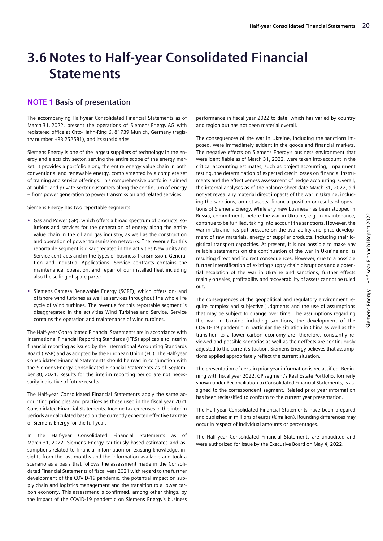## <span id="page-19-0"></span>**3.6 Notes to Half-year Consolidated Financial Statements**

### **NOTE 1 Basis of presentation**

The accompanying Half-year Consolidated Financial Statements as of March 31, 2022, present the operations of Siemens Energy AG with registered office at Otto-Hahn-Ring 6, 81739 Munich, Germany (registry number HRB 252581), and its subsidiaries.

Siemens Energy is one of the largest suppliers of technology in the energy and electricity sector, serving the entire scope of the energy market. It provides a portfolio along the entire energy value chain in both conventional and renewable energy, complemented by a complete set of training and service offerings. This comprehensive portfolio is aimed at public- and private-sector customers along the continuum of energy – from power generation to power transmission and related services.

Siemens Energy has two reportable segments:

- **•** Gas and Power (GP), which offers a broad spectrum of products, solutions and services for the generation of energy along the entire value chain in the oil and gas industry, as well as the construction and operation of power transmission networks. The revenue for this reportable segment is disaggregated in the activities New units and Service contracts and in the types of business Transmission, Generation and Industrial Applications. Service contracts contains the maintenance, operation, and repair of our installed fleet including also the selling of spare parts;
- **•** Siemens Gamesa Renewable Energy (SGRE), which offers on- and offshore wind turbines as well as services throughout the whole life cycle of wind turbines. The revenue for this reportable segment is disaggregated in the activities Wind Turbines and Service. Service contains the operation and maintenance of wind turbines.

The Half-year Consolidated Financial Statements are in accordance with International Financial Reporting Standards (IFRS) applicable to interim financial reporting as issued by the International Accounting Standards Board (IASB) and as adopted by the European Union (EU). The Half-year Consolidated Financial Statements should be read in conjunction with the Siemens Energy Consolidated Financial Statements as of September 30, 2021. Results for the interim reporting period are not necessarily indicative of future results.

The Half-year Consolidated Financial Statements apply the same accounting principles and practices as those used in the fiscal year 2021 Consolidated Financial Statements. Income tax expenses in the interim periods are calculated based on the currently expected effective tax rate of Siemens Energy for the full year.

In the Half-year Consolidated Financial Statements as of March 31, 2022, Siemens Energy cautiously based estimates and assumptions related to financial information on existing knowledge, insights from the last months and the information available and took a scenario as a basis that follows the assessment made in the Consolidated Financial Statements of fiscal year 2021 with regard to the further development of the COVID-19 pandemic, the potential impact on supply chain and logistics management and the transition to a lower carbon economy. This assessment is confirmed, among other things, by the impact of the COVID-19 pandemic on Siemens Energy's business

performance in fiscal year 2022 to date, which has varied by country and region but has not been material overall.

The consequences of the war in Ukraine, including the sanctions imposed, were immediately evident in the goods and financial markets. The negative effects on Siemens Energy's business environment that were identifiable as of March 31, 2022, were taken into account in the critical accounting estimates, such as project accounting, impairment testing, the determination of expected credit losses on financial instruments and the effectiveness assessment of hedge accounting. Overall, the internal analyses as of the balance sheet date March 31, 2022, did not yet reveal any material direct impacts of the war in Ukraine, including the sanctions, on net assets, financial position or results of operations of Siemens Energy. While any new business has been stopped in Russia, commitments before the war in Ukraine, e.g. in maintenance, continue to be fulfilled, taking into account the sanctions. However, the war in Ukraine has put pressure on the availability and price development of raw materials, energy or supplier products, including their logistical transport capacities. At present, it is not possible to make any reliable statements on the continuation of the war in Ukraine and its resulting direct and indirect consequences. However, due to a possible further intensification of existing supply chain disruptions and a potential escalation of the war in Ukraine and sanctions, further effects mainly on sales, profitability and recoverability of assets cannot be ruled out.

The consequences of the geopolitical and regulatory environment require complex and subjective judgments and the use of assumptions that may be subject to change over time. The assumptions regarding the war in Ukraine including sanctions, the development of the COVID- 19 pandemic in particular the situation in China as well as the transition to a lower carbon economy are, therefore, constantly reviewed and possible scenarios as well as their effects are continuously adjusted to the current situation. Siemens Energy believes that assumptions applied appropriately reflect the current situation.

The presentation of certain prior year information is reclassified. Beginning with fiscal year 2022, GP segment's Real Estate Portfolio, formerly shown under Reconciliation to Consolidated Financial Statements, is assigned to the correspondent segment. Related prior year information has been reclassified to conform to the current year presentation.

The Half-year Consolidated Financial Statements have been prepared and published in millions of euros (€ million). Rounding differences may occur in respect of individual amounts or percentages.

The Half-year Consolidated Financial Statements are unaudited and were authorized for issue by the Executive Board on May 4, 2022.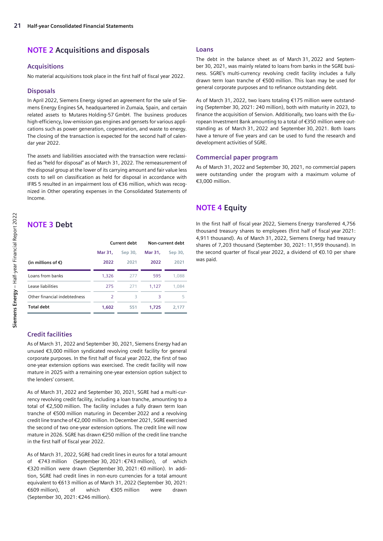### **NOTE 2 Acquisitions and disposals**

#### **Acquisitions**

No material acquisitions took place in the first half of fiscal year 2022.

#### **Disposals**

In April 2022, Siemens Energy signed an agreement for the sale of Siemens Energy Engines SA, headquartered in Zumaia, Spain, and certain related assets to Mutares Holding-57 GmbH. The business produces high-efficiency, low-emission gas engines and gensets for various applications such as power generation, cogeneration, and waste to energy. The closing of the transaction is expected for the second half of calendar year 2022.

The assets and liabilities associated with the transaction were reclassified as "held for disposal" as of March 31, 2022. The remeasurement of the disposal group at the lower of its carrying amount and fair value less costs to sell on classification as held for disposal in accordance with IFRS 5 resulted in an impairment loss of €36 million, which was recognized in Other operating expenses in the Consolidated Statements of Income.

### **NOTE 3 Debt**

|                              |               | Current debt | Non-current debt |         |  |
|------------------------------|---------------|--------------|------------------|---------|--|
|                              | Mar 31,       | Sep 30,      | Mar 31,          | Sep 30, |  |
| (in millions of $\epsilon$ ) | 2022          | 2021         | 2022             | 2021    |  |
| Loans from banks             | 1.326         | 277          | 595              | 1.088   |  |
| Lease liabilities            | 275           | 271          | 1.127            | 1.084   |  |
| Other financial indebtedness | $\mathcal{P}$ | 3            | 3                | 5       |  |
| <b>Total debt</b>            | 1,602         | 551          | 1.725            | 2.177   |  |

#### **Credit facilities**

As of March 31, 2022 and September 30, 2021, Siemens Energy had an unused €3,000 million syndicated revolving credit facility for general corporate purposes. In the first half of fiscal year 2022, the first of two one-year extension options was exercised. The credit facility will now mature in 2025 with a remaining one-year extension option subject to the lenders' consent.

As of March 31, 2022 and September 30, 2021, SGRE had a multi-currency revolving credit facility, including a loan tranche, amounting to a total of €2,500 million. The facility includes a fully drawn term loan tranche of €500 million maturing in December 2022 and a revolving credit line tranche of €2,000 million. In December 2021, SGRE exercised the second of two one-year extension options. The credit line will now mature in 2026. SGRE has drawn €250 million of the credit line tranche in the first half of fiscal year 2022.

As of March 31, 2022, SGRE had credit lines in euros for a total amount of €743 million (September 30, 2021: €743 million), of which €320 million were drawn (September 30, 2021: €0 million). In addition, SGRE had credit lines in non-euro currencies for a total amount equivalent to €613 million as of March 31, 2022 (September 30, 2021: €609 million), of which €305 million were drawn (September 30, 2021: €246 million).

#### **Loans**

The debt in the balance sheet as of March 31, 2022 and September 30, 2021, was mainly related to loans from banks in the SGRE business. SGRE's multi-currency revolving credit facility includes a fully drawn term loan tranche of €500 million. This loan may be used for general corporate purposes and to refinance outstanding debt.

As of March 31, 2022, two loans totaling €175 million were outstanding (September 30, 2021: 240 million), both with maturity in 2023, to finance the acquisition of Senvion. Additionally, two loans with the European Investment Bank amounting to a total of €350 million were outstanding as of March 31, 2022 and September 30, 2021. Both loans have a tenure of five years and can be used to fund the research and development activities of SGRE.

#### **Commercial paper program**

As of March 31, 2022 and September 30, 2021, no commercial papers were outstanding under the program with a maximum volume of  $€3,000$  million.

### **NOTE 4 Equity**

In the first half of fiscal year 2022, Siemens Energy transferred 4,756 thousand treasury shares to employees (first half of fiscal year 2021: 4,911 thousand). As of March 31, 2022, Siemens Energy had treasury shares of 7,203 thousand (September 30, 2021: 11,959 thousand). In the second quarter of fiscal year 2022, a dividend of €0.10 per share was paid.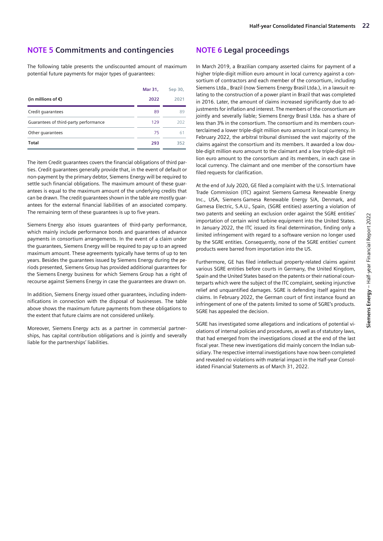#### **NOTE 5 Commitments and contingencies**

The following table presents the undiscounted amount of maximum potential future payments for major types of guarantees:

|                                       | Mar 31, | Sep 30, |
|---------------------------------------|---------|---------|
| (in millions of €)                    | 2022    | 2021    |
| Credit quarantees                     | 89      | 89      |
| Guarantees of third-party performance | 129     | 202     |
| Other guarantees                      | 75      | 61      |
| Total                                 | 293     | 352     |

The item Credit guarantees covers the financial obligations of third parties. Credit guarantees generally provide that, in the event of default or non-payment by the primary debtor, Siemens Energy will be required to settle such financial obligations. The maximum amount of these guarantees is equal to the maximum amount of the underlying credits that can be drawn. The credit guarantees shown in the table are mostly guarantees for the external financial liabilities of an associated company. The remaining term of these guarantees is up to five years.

Siemens Energy also issues guarantees of third-party performance, which mainly include performance bonds and guarantees of advance payments in consortium arrangements. In the event of a claim under the guarantees, Siemens Energy will be required to pay up to an agreed maximum amount. These agreements typically have terms of up to ten years. Besides the guarantees issued by Siemens Energy during the periods presented, Siemens Group has provided additional guarantees for the Siemens Energy business for which Siemens Group has a right of recourse against Siemens Energy in case the guarantees are drawn on.

In addition, Siemens Energy issued other guarantees, including indemnifications in connection with the disposal of businesses. The table above shows the maximum future payments from these obligations to the extent that future claims are not considered unlikely.

Moreover, Siemens Energy acts as a partner in commercial partnerships, has capital contribution obligations and is jointly and severally liable for the partnerships' liabilities.

### **NOTE 6 Legal proceedings**

In March 2019, a Brazilian company asserted claims for payment of a higher triple-digit million euro amount in local currency against a consortium of contractors and each member of the consortium, including Siemens Ltda., Brazil (now Siemens Energy Brasil Ltda.), in a lawsuit relating to the construction of a power plant in Brazil that was completed in 2016. Later, the amount of claims increased significantly due to adjustments for inflation and interest. The members of the consortium are jointly and severally liable; Siemens Energy Brasil Ltda. has a share of less than 3% in the consortium. The consortium and its members counterclaimed a lower triple-digit million euro amount in local currency. In February 2022, the arbitral tribunal dismissed the vast majority of the claims against the consortium and its members. It awarded a low double-digit million euro amount to the claimant and a low triple-digit million euro amount to the consortium and its members, in each case in local currency. The claimant and one member of the consortium have filed requests for clarification.

At the end of July 2020, GE filed a complaint with the U.S. International Trade Commission (ITC) against Siemens Gamesa Renewable Energy Inc., USA, Siemens Gamesa Renewable Energy S/A, Denmark, and Gamesa Electric, S.A.U., Spain, (SGRE entities) asserting a violation of two patents and seeking an exclusion order against the SGRE entities' importation of certain wind turbine equipment into the United States. In January 2022, the ITC issued its final determination, finding only a limited infringement with regard to a software version no longer used by the SGRE entities. Consequently, none of the SGRE entities' current products were barred from importation into the US.

Furthermore, GE has filed intellectual property-related claims against various SGRE entities before courts in Germany, the United Kingdom, Spain and the United States based on the patents or their national counterparts which were the subject of the ITC complaint, seeking injunctive relief and unquantified damages. SGRE is defending itself against the claims. In February 2022, the German court of first instance found an infringement of one of the patents limited to some of SGRE's products. SGRE has appealed the decision.

SGRE has investigated some allegations and indications of potential violations of internal policies and procedures, as well as of statutory laws, that had emerged from the investigations closed at the end of the last fiscal year. These new investigations did mainly concern the Indian subsidiary. The respective internal investigations have now been completed and revealed no violations with material impact in the Half-year Consolidated Financial Statements as of March 31, 2022.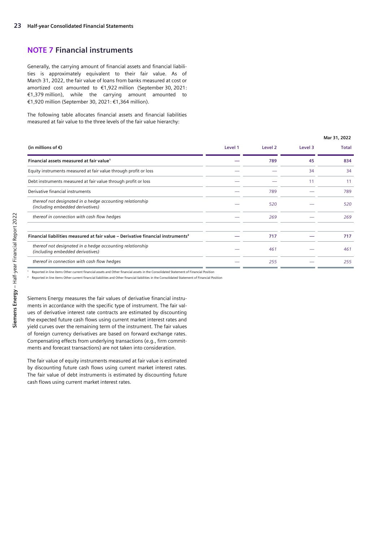#### **NOTE 7 Financial instruments**

Generally, the carrying amount of financial assets and financial liabilities is approximately equivalent to their fair value. As of March 31, 2022, the fair value of loans from banks measured at cost or amortized cost amounted to €1,922 million (September 30, 2021: €1,379 million), while the carrying amount amounted to €1,920 million (September 30, 2021: €1,364 million).

The following table allocates financial assets and financial liabilities measured at fair value to the three levels of the fair value hierarchy:

|                                                                                               |         |         |         | Mar 31, 2022 |
|-----------------------------------------------------------------------------------------------|---------|---------|---------|--------------|
| (in millions of $\epsilon$ )                                                                  | Level 1 | Level 2 | Level 3 | <b>Total</b> |
| Financial assets measured at fair value <sup>1</sup>                                          |         | 789     | 45      | 834          |
| Equity instruments measured at fair value through profit or loss                              |         |         | 34      | 34           |
| Debt instruments measured at fair value through profit or loss                                |         |         | 11      | 11           |
| Derivative financial instruments                                                              |         | 789     |         | 789          |
| thereof not designated in a hedge accounting relationship<br>(including embedded derivatives) |         | 520     |         | 520          |
| thereof in connection with cash flow hedges                                                   |         | 269     |         | 269          |
|                                                                                               |         |         |         |              |
| Financial liabilities measured at fair value - Derivative financial instruments <sup>2</sup>  |         | 717     |         | 717          |
| thereof not designated in a hedge accounting relationship<br>(including embedded derivatives) |         | 461     |         | 461          |
| thereof in connection with cash flow hedges                                                   |         | 255     |         | 255          |

<sup>1</sup> Reported in line items Other current financial assets and Other financial assets in the Consolidated Statement of Financial Position

<sup>2</sup> Reported in line items Other current financial liabilities and Other financial liabilities in the Consolidated Statement of Financial Position

Siemens Energy measures the fair values of derivative financial instruments in accordance with the specific type of instrument. The fair values of derivative interest rate contracts are estimated by discounting the expected future cash flows using current market interest rates and yield curves over the remaining term of the instrument. The fair values of foreign currency derivatives are based on forward exchange rates. Compensating effects from underlying transactions (e.g., firm commitments and forecast transactions) are not taken into consideration.

The fair value of equity instruments measured at fair value is estimated by discounting future cash flows using current market interest rates. The fair value of debt instruments is estimated by discounting future cash flows using current market interest rates.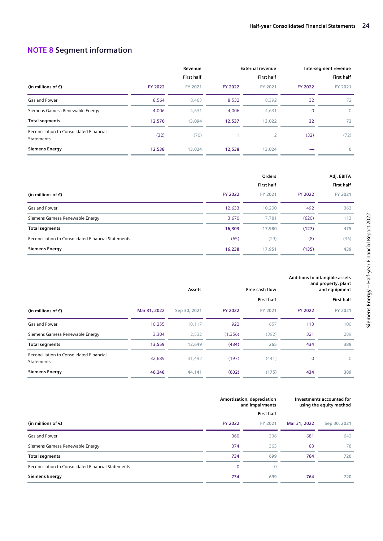### **NOTE 8 Segment information**

|                                                        |                | Revenue           |                | <b>External revenue</b> |                | Intersegment revenue |
|--------------------------------------------------------|----------------|-------------------|----------------|-------------------------|----------------|----------------------|
|                                                        |                | <b>First half</b> |                | <b>First half</b>       |                | <b>First half</b>    |
| (in millions of $\epsilon$ )                           | <b>FY 2022</b> | FY 2021           | <b>FY 2022</b> | FY 2021                 | <b>FY 2022</b> | FY 2021              |
| Gas and Power                                          | 8,564          | 8,463             | 8,532          | 8,392                   | 32             | 72                   |
| Siemens Gamesa Renewable Energy                        | 4.006          | 4,631             | 4.006          | 4,631                   | $\Omega$       | $\Omega$             |
| <b>Total segments</b>                                  | 12,570         | 13,094            | 12,537         | 13,022                  | 32             | 72                   |
| Reconciliation to Consolidated Financial<br>Statements | (32)           | (70)              |                |                         | (32)           | (72)                 |
| <b>Siemens Energy</b>                                  | 12,538         | 13,024            | 12,538         | 13,024                  |                | $\mathbf{0}$         |

|                                                     |                | Orders            | Adj. EBITA     |                   |
|-----------------------------------------------------|----------------|-------------------|----------------|-------------------|
|                                                     |                | <b>First half</b> |                | <b>First half</b> |
| (in millions of $\epsilon$ )                        | <b>FY 2022</b> | FY 2021           | <b>FY 2022</b> | FY 2021           |
| Gas and Power                                       | 12,633         | 10,200            | 492            | 363               |
| Siemens Gamesa Renewable Energy                     | 3,670          | 7,781             | (620)          | 113               |
| <b>Total segments</b>                               | 16,303         | 17,980            | (127)          | 475               |
| Reconciliation to Consolidated Financial Statements | (65)           | (29)              | (8)            | (36)              |
| <b>Siemens Energy</b>                               | 16,238         | 17,951            | (135)          | 439               |

|                                                        |              | Assets       |                | Free cash flow    |                | Additions to intangible assets<br>and property, plant<br>and equipment |
|--------------------------------------------------------|--------------|--------------|----------------|-------------------|----------------|------------------------------------------------------------------------|
|                                                        |              |              |                | <b>First half</b> |                | <b>First half</b>                                                      |
| (in millions of $\epsilon$ )                           | Mar 31, 2022 | Sep 30, 2021 | <b>FY 2022</b> | FY 2021           | <b>FY 2022</b> | FY 2021                                                                |
| Gas and Power                                          | 10,255       | 10,117       | 922            | 657               | 113            | 100                                                                    |
| Siemens Gamesa Renewable Energy                        | 3,304        | 2,532        | (1,356)        | (392)             | 321            | 289                                                                    |
| <b>Total segments</b>                                  | 13,559       | 12,649       | (434)          | 265               | 434            | 389                                                                    |
| Reconciliation to Consolidated Financial<br>Statements | 32,689       | 31,492       | (197)          | (441)             | $\mathbf 0$    | $\circ$                                                                |
| <b>Siemens Energy</b>                                  | 46,248       | 44,141       | (632)          | (175)             | 434            | 389                                                                    |

|                                                     |                | Amortization, depreciation<br>and impairments<br><b>First half</b> | Investments accounted for<br>using the equity method |              |
|-----------------------------------------------------|----------------|--------------------------------------------------------------------|------------------------------------------------------|--------------|
| (in millions of $\epsilon$ )                        | <b>FY 2022</b> | FY 2021                                                            | Mar 31, 2022                                         | Sep 30, 2021 |
| Gas and Power                                       | 360            | 336                                                                | 681                                                  | 642          |
| Siemens Gamesa Renewable Energy                     | 374            | 363                                                                | 83                                                   | 78           |
| <b>Total segments</b>                               | 734            | 699                                                                | 764                                                  | 720          |
| Reconciliation to Consolidated Financial Statements | $\mathbf 0$    |                                                                    |                                                      |              |
| <b>Siemens Energy</b>                               | 734            | 699                                                                | 764                                                  | 720          |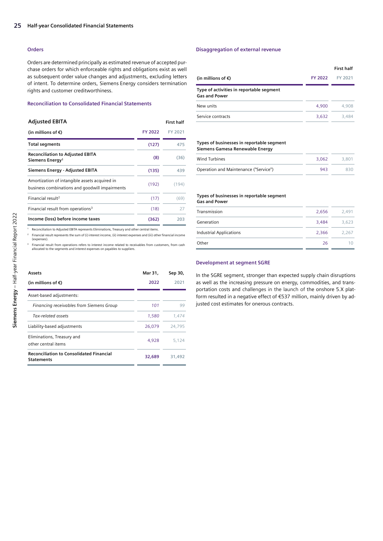#### **Orders**

Orders are determined principally as estimated revenue of accepted purchase orders for which enforceable rights and obligations exist as well as subsequent order value changes and adjustments, excluding letters of intent. To determine orders, Siemens Energy considers termination rights and customer creditworthiness.

#### **Reconciliation to Consolidated Financial Statements**

#### **Adjusted EBITA First half**

| (in millions of $\epsilon$ )                                                                    | FY 2022 | FY 2021 |
|-------------------------------------------------------------------------------------------------|---------|---------|
| <b>Total segments</b>                                                                           | (127)   | 475     |
| <b>Reconciliation to Adjusted EBITA</b><br>Siemens Energy <sup>1</sup>                          | (8)     | (36)    |
| Siemens Energy - Adjusted EBITA                                                                 | (135)   | 439     |
| Amortization of intangible assets acquired in<br>business combinations and goodwill impairments | (192)   | (194)   |
| Financial result <sup>2</sup>                                                                   | (17)    | (69)    |
| Financial result from operations <sup>3</sup>                                                   | (18)    | 27      |
| Income (loss) before income taxes                                                               | (362)   | 203     |

Reconciliation to Adjusted EBITA represents Eliminations, Treasury and other central items.

Financial result represents the sum of (i) interest income, (ii) interest expenses and (iii) other financial income

(expenses). ³ Financial result from operations refers to interest income related to receivables from customers, from cash allocated to the segments and interest expenses on payables to suppliers.

### **Assets Mar 31, Sep 30, (in millions of €) 2022 2021** Asset-based adjustments: *Financing receivables from Siemens Group 101 99 Tax-related assets 1,580 1,474* Liability-based adjustments 26,079 24,795 Eliminations, Treasury and other central items 4,928 5,124 **Reconciliation to Consolidated Financial Statements 32,689 31,492**

#### **Disaggregation of external revenue**

|                                                                  |         | First half |
|------------------------------------------------------------------|---------|------------|
| (in millions of €)                                               | FY 2022 | FY 2021    |
| Type of activities in reportable segment<br><b>Gas and Power</b> |         |            |
| New units                                                        | 4.900   | 4,908      |
| Service contracts                                                | 3.632   | 3.484      |

#### **Types of businesses in reportable segment Siemens Gamesa Renewable Energy**

| Wind Turbines                         | 3.062 | 3,801 |
|---------------------------------------|-------|-------|
| Operation and Maintenance ("Service") | 943   | 830.  |

#### **Types of businesses in reportable segment Gas and Power**

| Transmission                   | 2,656 | 2.491 |
|--------------------------------|-------|-------|
| Generation                     | 3.484 | 3.623 |
| <b>Industrial Applications</b> | 2,366 | 2.267 |
| Other                          | 26    |       |
|                                |       |       |

#### **Development at segment SGRE**

In the SGRE segment, stronger than expected supply chain disruptions as well as the increasing pressure on energy, commodities, and transportation costs and challenges in the launch of the onshore 5.X platform resulted in a negative effect of €537 million, mainly driven by adjusted cost estimates for onerous contracts.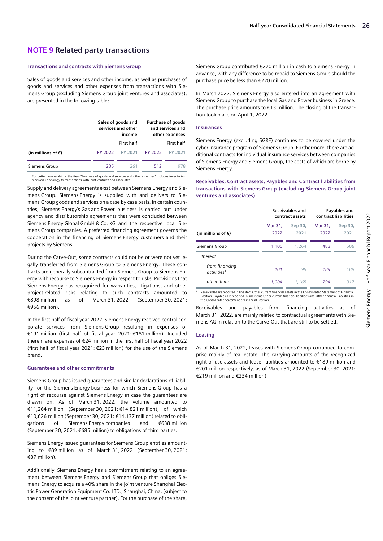#### **NOTE 9 Related party transactions**

#### **Transactions and contracts with Siemens Group**

Sales of goods and services and other income, as well as purchases of goods and services and other expenses from transactions with Siemens Group (excluding Siemens Group joint ventures and associates), are presented in the following table:

|                              | Sales of goods and<br>services and other<br>income |                   | Purchase of goods<br>and services and<br>other expenses |         |  |
|------------------------------|----------------------------------------------------|-------------------|---------------------------------------------------------|---------|--|
|                              |                                                    | <b>First half</b> | <b>First half</b>                                       |         |  |
| (in millions of $\epsilon$ ) | FY 2022                                            | FY 2021           | <b>FY 2022</b>                                          | FY 2021 |  |
| Siemens Group                | 235                                                | 261               | 512                                                     |         |  |

' For better comparability, the item "Purchase of goods and services and other expenses" includes inventories<br>received, in analogy to transactions with joint ventures and associates.

Supply and delivery agreements exist between Siemens Energy and Siemens Group. Siemens Energy is supplied with and delivers to Siemens Group goods and services on a case by case basis. In certain countries, Siemens Energy's Gas and Power business is carried out under agency and distributorship agreements that were concluded between Siemens Energy Global GmbH & Co. KG and the respective local Siemens Group companies. A preferred financing agreement governs the cooperation in the financing of Siemens Energy customers and their projects by Siemens.

During the Carve-Out, some contracts could not be or were not yet legally transferred from Siemens Group to Siemens Energy. These contracts are generally subcontracted from Siemens Group to Siemens Energy with recourse to Siemens Energy in respect to risks. Provisions that Siemens Energy has recognized for warranties, litigations, and other project-related risks relating to such contracts amounted to €898 million as of March 31, 2022 (September 30, 2021: €956 million).

In the first half of fiscal year 2022, Siemens Energy received central corporate services from Siemens Group resulting in expenses of €191 million (first half of fiscal year 2021: €181 million). Included therein are expenses of €24 million in the first half of fiscal year 2022 (first half of fiscal year 2021: €23 million) for the use of the Siemens brand.

#### **Guarantees and other commitments**

Siemens Group has issued guarantees and similar declarations of liability for the Siemens Energy business for which Siemens Group has a right of recourse against Siemens Energy in case the guarantees are drawn on. As of March 31, 2022, the volume amounted to €11,264 million (September 30, 2021: €14,821 million), of which €10,626 million (September 30, 2021: €14,137 million) related to obligations of Siemens Energy companies and €638 million (September 30, 2021: €685 million) to obligations of third parties.

Siemens Energy issued guarantees for Siemens Group entities amounting to €89 million as of March 31, 2022 (September 30, 2021: €87 million).

Additionally, Siemens Energy has a commitment relating to an agreement between Siemens Energy and Siemens Group that obliges Siemens Energy to acquire a 40% share in the joint venture Shanghai Electric Power Generation Equipment Co. LTD., Shanghai, China, (subject to the consent of the joint venture partner). For the purchase of the share, Siemens Group contributed €220 million in cash to Siemens Energy in advance, with any difference to be repaid to Siemens Group should the purchase price be less than €220 million.

In March 2022, Siemens Energy also entered into an agreement with Siemens Group to purchase the local Gas and Power business in Greece. The purchase price amounts to  $€13$  million. The closing of the transaction took place on April 1, 2022.

#### **Insurances**

Siemens Energy (excluding SGRE) continues to be covered under the cyber insurance program of Siemens Group. Furthermore, there are additional contracts for individual insurance services between companies of Siemens Energy and Siemens Group, the costs of which are borne by Siemens Energy.

#### **Receivables, Contract assets, Payables and Contract liabilities from transactions with Siemens Group (excluding Siemens Group joint ventures and associates)**

|                                                                                                                 |                 | Receivables and<br>contract assets |                 | Payables and<br>contract liabilities |  |  |  |  |
|-----------------------------------------------------------------------------------------------------------------|-----------------|------------------------------------|-----------------|--------------------------------------|--|--|--|--|
| (in millions of $\epsilon$ )                                                                                    | Mar 31,<br>2022 | Sep 30,<br>2021                    | Mar 31.<br>2022 | Sep 30,<br>2021                      |  |  |  |  |
| Siemens Group                                                                                                   | 1.105           | 1.264                              | 483             | 506                                  |  |  |  |  |
| thereof                                                                                                         |                 |                                    |                 |                                      |  |  |  |  |
| from financing<br>activities <sup>1</sup>                                                                       | 101             | 99                                 | 189             | 189                                  |  |  |  |  |
| other items                                                                                                     | 1.004           | 1,165                              | 294             | 317                                  |  |  |  |  |
| Receivables are reported in line item Other current financial assets in the Consolidated Statement of Financial |                 |                                    |                 |                                      |  |  |  |  |

Preceivables are reported in line item Other current financial assets in the Consolidated Statement of Financial<br>Position. Payables are reported in line items Other current financial liabilities and Other financial liabili

Receivables and payables from financing activities as of March 31, 2022, are mainly related to contractual agreements with Siemens AG in relation to the Carve-Out that are still to be settled.

#### **Leasing**

As of March 31, 2022, leases with Siemens Group continued to comprise mainly of real estate. The carrying amounts of the recognized right-of-use-assets and lease liabilities amounted to €189 million and €201 million respectively, as of March 31, 2022 (September 30, 2021: €219 million and €234 million).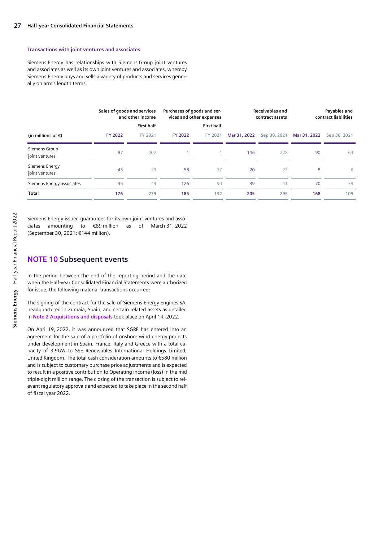#### **Transactions with joint ventures and associates**

Siemens Energy has relationships with Siemens Group joint ventures and associates as well as its own joint ventures and associates, whereby Siemens Energy buys and sells a variety of products and services generally on arm's length terms.

|                                  | Sales of goods and services<br>and other income |                   | Purchases of goods and ser-<br>vices and other expenses |                   | Receivables and<br>contract assets |              | Payables and<br>contract liabilities |              |
|----------------------------------|-------------------------------------------------|-------------------|---------------------------------------------------------|-------------------|------------------------------------|--------------|--------------------------------------|--------------|
|                                  |                                                 | <b>First half</b> |                                                         | <b>First half</b> |                                    |              |                                      |              |
| (in millions of $\epsilon$ )     | <b>FY 2022</b>                                  | FY 2021           | <b>FY 2022</b>                                          | FY 2021           | Mar 31, 2022                       | Sep 30, 2021 | Mar 31, 2022                         | Sep 30, 2021 |
| Siemens Group<br>joint ventures  | 87                                              | 202               |                                                         | 4                 | 146                                | 228          | 90                                   | 64           |
| Siemens Energy<br>joint ventures | 43                                              | 29                | 58                                                      | 37                | 20                                 | 27           | 8                                    | 6            |
| Siemens Energy associates        | 45                                              | 49                | 126                                                     | 90                | 39                                 | 41           | 70                                   | 39           |
| Total                            | 176                                             | 279               | 185                                                     | 132               | 205                                | 295          | 168                                  | 109          |

Siemens Energy issued guarantees for its own joint ventures and associates amounting to €89 million as of March 31, 2022 (September 30, 2021: €144 million).

#### **NOTE 10 Subsequent events**

In the period between the end of the reporting period and the date when the Half-year Consolidated Financial Statements were authorized for issue, the following material transactions occurred:

The signing of the contract for the sale of Siemens Energy Engines SA, headquartered in Zumaia, Spain, and certain related assets as detailed in **Note 2 Acquisitions and disposals** took place on April 14, 2022.

On April 19, 2022, it was announced that SGRE has entered into an agreement for the sale of a portfolio of onshore wind energy projects under development in Spain, France, Italy and Greece with a total capacity of 3.9GW to SSE Renewables International Holdings Limited, United Kingdom. The total cash consideration amounts to €580 million and is subject to customary purchase price adjustments and is expected to result in a positive contribution to Operating income (loss) in the mid triple-digit million range. The closing of the transaction is subject to relevant regulatory approvals and expected to take place in the second half of fiscal year 2022.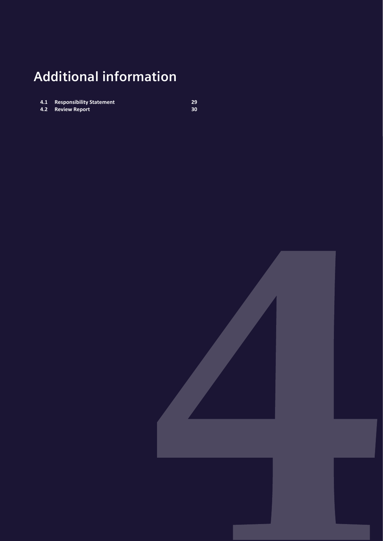## <span id="page-27-0"></span>**Additional information**

- **4.1 [Responsibility Statement](#page-28-0) 29**
- **4.2 [Review Report](#page-29-0) 30**

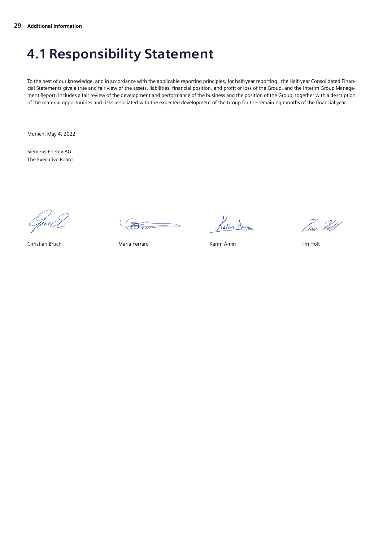### <span id="page-28-0"></span>**4.1 Responsibility Statement**

To the best of our knowledge, and in accordance with the applicable reporting principles, for half-year reporting , the Half-year Consolidated Financial Statements give a true and fair view of the assets, liabilities, financial position, and profit or loss of the Group, and the Interim Group Management Report, includes a fair review of the development and performance of the business and the position of the Group, together with a description of the material opportunities and risks associated with the expected development of the Group for the remaining months of the financial year.

Munich, May 4, 2022

Siemens Energy AG The Executive Board

Guill

terra

Christian Bruch Maria Ferraro Karim Amin Tim Holt

Kavin Amin

Tur<sup>'</sup> *Udd*d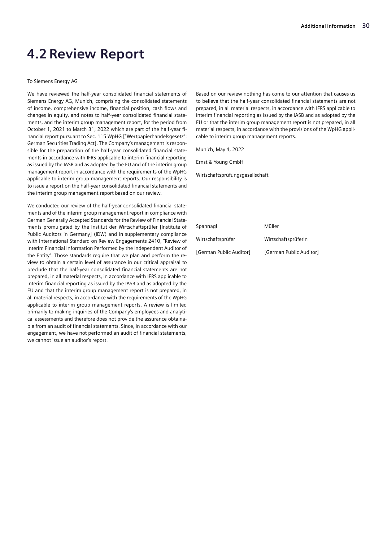### <span id="page-29-0"></span>**4.2 Review Report**

#### To Siemens Energy AG

We have reviewed the half-year consolidated financial statements of Siemens Energy AG, Munich, comprising the consolidated statements of income, comprehensive income, financial position, cash flows and changes in equity, and notes to half-year consolidated financial statements, and the interim group management report, for the period from October 1, 2021 to March 31, 2022 which are part of the half-year financial report pursuant to Sec. 115 WpHG ["Wertpapierhandelsgesetz": German Securities Trading Act]. The Company's management is responsible for the preparation of the half-year consolidated financial statements in accordance with IFRS applicable to interim financial reporting as issued by the IASB and as adopted by the EU and of the interim group management report in accordance with the requirements of the WpHG applicable to interim group management reports. Our responsibility is to issue a report on the half-year consolidated financial statements and the interim group management report based on our review.

We conducted our review of the half-year consolidated financial statements and of the interim group management report in compliance with German Generally Accepted Standards for the Review of Financial Statements promulgated by the Institut der Wirtschaftsprüfer [Institute of Public Auditors in Germany] (IDW) and in supplementary compliance with International Standard on Review Engagements 2410, "Review of Interim Financial Information Performed by the Independent Auditor of the Entity". Those standards require that we plan and perform the review to obtain a certain level of assurance in our critical appraisal to preclude that the half-year consolidated financial statements are not prepared, in all material respects, in accordance with IFRS applicable to interim financial reporting as issued by the IASB and as adopted by the EU and that the interim group management report is not prepared, in all material respects, in accordance with the requirements of the WpHG applicable to interim group management reports. A review is limited primarily to making inquiries of the Company's employees and analytical assessments and therefore does not provide the assurance obtainable from an audit of financial statements. Since, in accordance with our engagement, we have not performed an audit of financial statements, we cannot issue an auditor's report.

Based on our review nothing has come to our attention that causes us to believe that the half-year consolidated financial statements are not prepared, in all material respects, in accordance with IFRS applicable to interim financial reporting as issued by the IASB and as adopted by the EU or that the interim group management report is not prepared, in all material respects, in accordance with the provisions of the WpHG applicable to interim group management reports.

Munich, May 4, 2022

Ernst & Young GmbH

Wirtschaftsprüfungsgesellschaft

Spannagl Müller Wirtschaftsprüfer Wirtschaftsprüferin [German Public Auditor] [German Public Auditor]